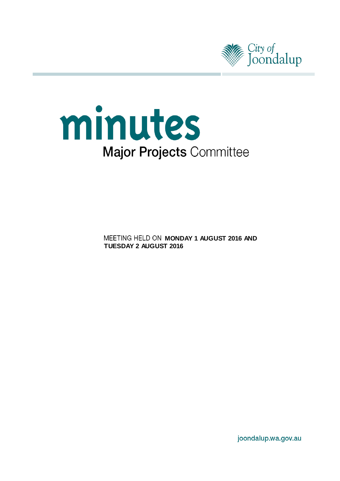



**MEETING HELD ON MONDAY 1 AUGUST 2016 AND TUESDAY 2 AUGUST 2016**

joondalup.wa.gov.au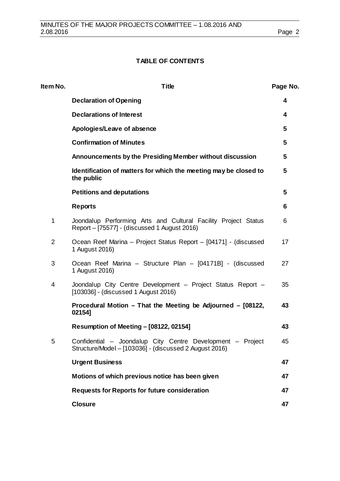# **TABLE OF CONTENTS**

| Item No.       | <b>Title</b>                                                                                                         | Page No. |
|----------------|----------------------------------------------------------------------------------------------------------------------|----------|
|                | <b>Declaration of Opening</b>                                                                                        | 4        |
|                | <b>Declarations of Interest</b>                                                                                      | 4        |
|                | Apologies/Leave of absence                                                                                           | 5        |
|                | <b>Confirmation of Minutes</b>                                                                                       | 5        |
|                | Announcements by the Presiding Member without discussion                                                             | 5        |
|                | Identification of matters for which the meeting may be closed to<br>the public                                       | 5        |
|                | <b>Petitions and deputations</b>                                                                                     | 5        |
|                | <b>Reports</b>                                                                                                       | 6        |
| $\mathbf 1$    | Joondalup Performing Arts and Cultural Facility Project Status<br>Report – [75577] - (discussed 1 August 2016)       | 6        |
| $\overline{2}$ | Ocean Reef Marina - Project Status Report - [04171] - (discussed<br>1 August 2016)                                   | 17       |
| 3              | Ocean Reef Marina - Structure Plan - [04171B] - (discussed<br>1 August 2016)                                         | 27       |
| 4              | Joondalup City Centre Development - Project Status Report -<br>[103036] - (discussed 1 August 2016)                  | 35       |
|                | Procedural Motion - That the Meeting be Adjourned - [08122,<br>02154]                                                | 43       |
|                | <b>Resumption of Meeting - [08122, 02154]</b>                                                                        | 43       |
| 5              | Confidential - Joondalup City Centre Development - Project<br>Structure/Model - [103036] - (discussed 2 August 2016) | 45       |
|                | <b>Urgent Business</b>                                                                                               | 47       |
|                | Motions of which previous notice has been given                                                                      | 47       |
|                | <b>Requests for Reports for future consideration</b>                                                                 | 47       |
|                | <b>Closure</b>                                                                                                       | 47       |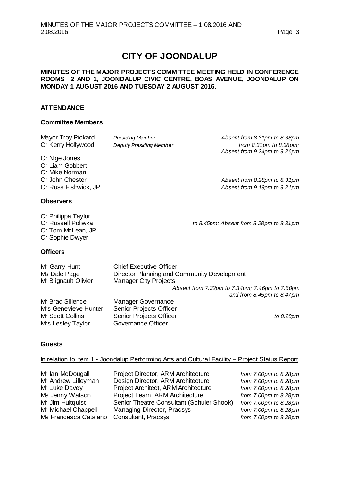# **CITY OF JOONDALUP**

# **MINUTES OF THE MAJOR PROJECTS COMMITTEE MEETING HELD IN CONFERENCE ROOMS 2 AND 1, JOONDALUP CIVIC CENTRE, BOAS AVENUE, JOONDALUP ON MONDAY 1 AUGUST 2016 AND TUESDAY 2 AUGUST 2016.**

# **ATTENDANCE**

#### **Committee Members**

| Mayor Troy Pickard<br>Cr Kerry Hollywood                                                      | <b>Presiding Member</b><br><b>Deputy Presiding Member</b>                                                     | Absent from 8.31pm to 8.38pm<br>from 8.31 pm to 8.38 pm;<br>Absent from 9.24pm to 9.26pm |
|-----------------------------------------------------------------------------------------------|---------------------------------------------------------------------------------------------------------------|------------------------------------------------------------------------------------------|
| Cr Nige Jones<br>Cr Liam Gobbert<br>Cr Mike Norman<br>Cr John Chester<br>Cr Russ Fishwick, JP |                                                                                                               | Absent from 8.28pm to 8.31pm<br>Absent from 9.19pm to 9.21pm                             |
| <b>Observers</b>                                                                              |                                                                                                               |                                                                                          |
| Cr Philippa Taylor<br><b>Cr Russell Poliwka</b><br>Cr Tom McLean, JP<br>Cr Sophie Dwyer       |                                                                                                               | to 8.45pm; Absent from 8.28pm to 8.31pm                                                  |
| <b>Officers</b>                                                                               |                                                                                                               |                                                                                          |
| Mr Garry Hunt<br>Ms Dale Page<br>Mr Blignault Olivier                                         | <b>Chief Executive Officer</b><br>Director Planning and Community Development<br><b>Manager City Projects</b> |                                                                                          |
|                                                                                               |                                                                                                               | Absent from 7.32pm to 7.34pm; 7.46pm to 7.50pm                                           |
| Mr Brad Sillence<br>Mrs Genevieve Hunter                                                      | <b>Manager Governance</b><br>Senior Projects Officer                                                          | and from $8.45 \text{pm}$ to $8.47 \text{pm}$                                            |
| Mr Scott Collins<br>Mrs Lesley Taylor                                                         | Senior Projects Officer<br>Governance Officer                                                                 | to 8.28pm                                                                                |
| Guests                                                                                        |                                                                                                               |                                                                                          |

In relation to Item 1 - Joondalup Performing Arts and Cultural Facility – Project Status Report

| Mr Ian McDougall      | Project Director, ARM Architecture        | from 7.00pm to 8.28pm |
|-----------------------|-------------------------------------------|-----------------------|
| Mr Andrew Lilleyman   | Design Director, ARM Architecture         | from 7.00pm to 8.28pm |
| Mr Luke Davey         | Project Architect, ARM Architecture       | from 7.00pm to 8.28pm |
| Ms Jenny Watson       | Project Team, ARM Architecture            | from 7.00pm to 8.28pm |
| Mr Jim Hultquist      | Senior Theatre Consultant (Schuler Shook) | from 7.00pm to 8.28pm |
| Mr Michael Chappell   | Managing Director, Pracsys                | from 7.00pm to 8.28pm |
| Ms Francesca Catalano | Consultant, Pracsys                       | from 7.00pm to 8.28pm |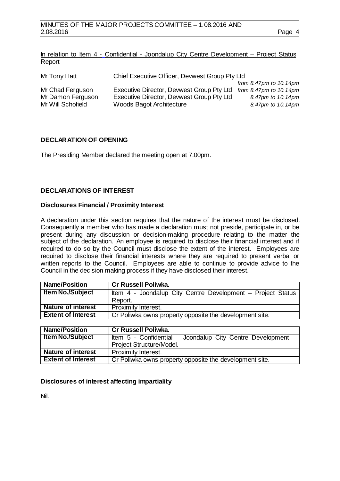|        |  |  | In relation to Item 4 - Confidential - Joondalup City Centre Development – Project Status |  |
|--------|--|--|-------------------------------------------------------------------------------------------|--|
| Report |  |  |                                                                                           |  |

| Mr Tony Hatt      | Chief Executive Officer, Devwest Group Pty Ltd |                              |  |  |  |  |
|-------------------|------------------------------------------------|------------------------------|--|--|--|--|
|                   |                                                | from $8.47$ pm to $10.14$ pm |  |  |  |  |
| Mr Chad Ferguson  | Executive Director, Devwest Group Pty Ltd      | from $8.47$ pm to $10.14$ pm |  |  |  |  |
| Mr Damon Ferguson | Executive Director, Devwest Group Pty Ltd      | 8.47pm to 10.14pm            |  |  |  |  |
| Mr Will Schofield | Woods Bagot Architecture                       | 8.47pm to 10.14pm            |  |  |  |  |

# <span id="page-3-0"></span>**DECLARATION OF OPENING**

The Presiding Member declared the meeting open at 7.00pm.

# <span id="page-3-1"></span>**DECLARATIONS OF INTEREST**

#### **Disclosures Financial / Proximity Interest**

A declaration under this section requires that the nature of the interest must be disclosed. Consequently a member who has made a declaration must not preside, participate in, or be present during any discussion or decision-making procedure relating to the matter the subject of the declaration. An employee is required to disclose their financial interest and if required to do so by the Council must disclose the extent of the interest. Employees are required to disclose their financial interests where they are required to present verbal or written reports to the Council. Employees are able to continue to provide advice to the Council in the decision making process if they have disclosed their interest.

| <b>Name/Position</b>      | Cr Russell Poliwka.                                         |
|---------------------------|-------------------------------------------------------------|
| <b>Item No./Subject</b>   | Item 4 - Joondalup City Centre Development – Project Status |
|                           | Report.                                                     |
| <b>Nature of interest</b> | Proximity Interest.                                         |
| <b>Extent of Interest</b> | Cr Poliwka owns property opposite the development site.     |

| <b>Name/Position</b>      | Cr Russell Poliwka.                                         |
|---------------------------|-------------------------------------------------------------|
| <b>Item No./Subject</b>   | Item 5 - Confidential - Joondalup City Centre Development - |
|                           | Project Structure/Model.                                    |
| <b>Nature of interest</b> | Proximity Interest.                                         |
| <b>Extent of Interest</b> | Cr Poliwka owns property opposite the development site.     |

#### **Disclosures of interest affecting impartiality**

Nil.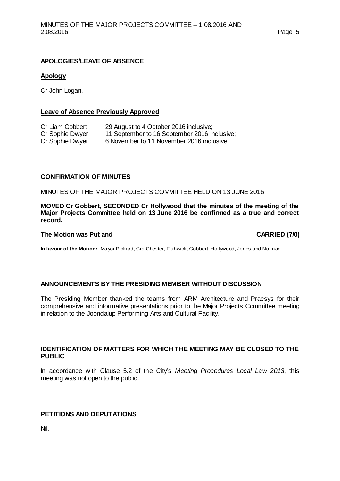# <span id="page-4-0"></span>**APOLOGIES/LEAVE OF ABSENCE**

# **Apology**

Cr John Logan.

# **Leave of Absence Previously Approved**

| Cr Liam Gobbert | 29 August to 4 October 2016 inclusive;       |
|-----------------|----------------------------------------------|
| Cr Sophie Dwyer | 11 September to 16 September 2016 inclusive; |
| Cr Sophie Dwyer | 6 November to 11 November 2016 inclusive.    |

# <span id="page-4-1"></span>**CONFIRMATION OF MINUTES**

## MINUTES OF THE MAJOR PROJECTS COMMITTEE HELD ON 13 JUNE 2016

**MOVED Cr Gobbert, SECONDED Cr Hollywood that the minutes of the meeting of the Major Projects Committee held on 13 June 2016 be confirmed as a true and correct record.**

#### **The Motion was Put and CARRIED (7/0)**

**In favour of the Motion:** Mayor Pickard, Crs Chester, Fishwick, Gobbert, Hollywood, Jones and Norman.

# <span id="page-4-2"></span>**ANNOUNCEMENTS BY THE PRESIDING MEMBER WITHOUT DISCUSSION**

The Presiding Member thanked the teams from ARM Architecture and Pracsys for their comprehensive and informative presentations prior to the Major Projects Committee meeting in relation to the Joondalup Performing Arts and Cultural Facility.

# <span id="page-4-3"></span>**IDENTIFICATION OF MATTERS FOR WHICH THE MEETING MAY BE CLOSED TO THE PUBLIC**

In accordance with Clause 5.2 of the City's *Meeting Procedures Local Law 2013*, this meeting was not open to the public.

# <span id="page-4-4"></span>**PETITIONS AND DEPUTATIONS**

Nil.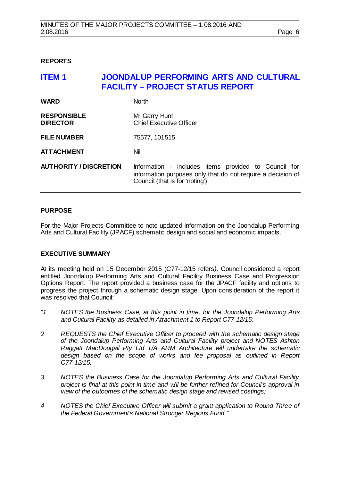#### <span id="page-5-0"></span>**REPORTS**

# <span id="page-5-1"></span>**ITEM 1 JOONDALUP PERFORMING ARTS AND CULTURAL FACILITY – PROJECT STATUS REPORT WARD** North

| <b>RESPONSIBLE</b><br><b>DIRECTOR</b> | Mr Garry Hunt<br><b>Chief Executive Officer</b> |
|---------------------------------------|-------------------------------------------------|
|                                       |                                                 |
|                                       |                                                 |

**FILE NUMBER** 75577, 101515

**ATTACHMENT** Nil

**AUTHORITY / DISCRETION** Information - includes items provided to Council for information purposes only that do not require a decision of Council (that is for 'noting').

# **PURPOSE**

For the Major Projects Committee to note updated information on the Joondalup Performing Arts and Cultural Facility (JPACF) schematic design and social and economic impacts.

#### **EXECUTIVE SUMMARY**

At its meeting held on 15 December 2015 (C77-12/15 refers*),* Council considered a report entitled Joondalup Performing Arts and Cultural Facility Business Case and Progression Options Report. The report provided a business case for the JPACF facility and options to progress the project through a schematic design stage. Upon consideration of the report it was resolved that Council:

- *"1 NOTES the Business Case, at this point in time, for the Joondalup Performing Arts and Cultural Facility as detailed in Attachment 1 to Report C77-12/15;*
- *2 REQUESTS the Chief Executive Officer to proceed with the schematic design stage of the Joondalup Performing Arts and Cultural Facility project and NOTES Ashton Raggatt MacDougall Pty Ltd T/A ARM Architecture will undertake the schematic design based on the scope of works and fee proposal as outlined in Report C77-12/15;*
- *3 NOTES the Business Case for the Joondalup Performing Arts and Cultural Facility project is final at this point in time and will be further refined for Council's approval in view of the outcomes of the schematic design stage and revised costings;*
- *4 NOTES the Chief Executive Officer will submit a grant application to Round Three of the Federal Government's National Stronger Regions Fund."*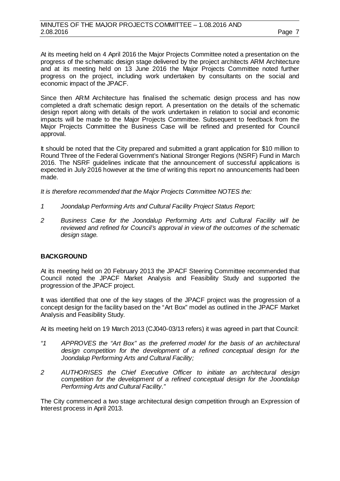At its meeting held on 4 April 2016 the Major Projects Committee noted a presentation on the progress of the schematic design stage delivered by the project architects ARM Architecture and at its meeting held on 13 June 2016 the Major Projects Committee noted further progress on the project, including work undertaken by consultants on the social and economic impact of the JPACF.

Since then ARM Architecture has finalised the schematic design process and has now completed a draft schematic design report. A presentation on the details of the schematic design report along with details of the work undertaken in relation to social and economic impacts will be made to the Major Projects Committee. Subsequent to feedback from the Major Projects Committee the Business Case will be refined and presented for Council approval.

It should be noted that the City prepared and submitted a grant application for \$10 million to Round Three of the Federal Government's National Stronger Regions (NSRF) Fund in March 2016. The NSRF guidelines indicate that the announcement of successful applications is expected in July 2016 however at the time of writing this report no announcements had been made.

*It is therefore recommended that the Major Projects Committee NOTES the:*

- *1 Joondalup Performing Arts and Cultural Facility Project Status Report;*
- *2 Business Case for the Joondalup Performing Arts and Cultural Facility will be reviewed and refined for Council's approval in view of the outcomes of the schematic design stage.*

# **BACKGROUND**

At its meeting held on 20 February 2013 the JPACF Steering Committee recommended that Council noted the JPACF Market Analysis and Feasibility Study and supported the progression of the JPACF project.

It was identified that one of the key stages of the JPACF project was the progression of a concept design for the facility based on the "Art Box" model as outlined in the JPACF Market Analysis and Feasibility Study.

At its meeting held on 19 March 2013 (CJ040-03/13 refers) it was agreed in part that Council:

- *"1 APPROVES the "Art Box" as the preferred model for the basis of an architectural design competition for the development of a refined conceptual design for the Joondalup Performing Arts and Cultural Facility;*
- *2 AUTHORISES the Chief Executive Officer to initiate an architectural design competition for the development of a refined conceptual design for the Joondalup Performing Arts and Cultural Facility."*

The City commenced a two stage architectural design competition through an Expression of Interest process in April 2013.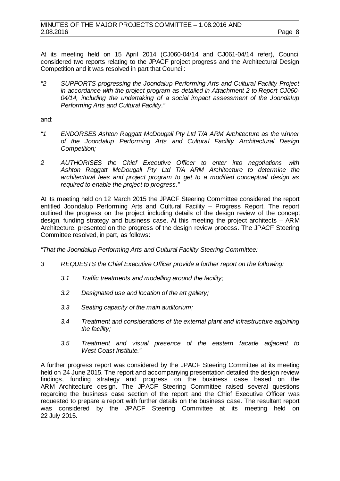At its meeting held on 15 April 2014 (CJ060-04/14 and CJ061-04/14 refer), Council considered two reports relating to the JPACF project progress and the Architectural Design Competition and it was resolved in part that Council:

*"2 SUPPORTS progressing the Joondalup Performing Arts and Cultural Facility Project in accordance with the project program as detailed in Attachment 2 to Report CJ060- 04/14, including the undertaking of a social impact assessment of the Joondalup Performing Arts and Cultural Facility."*

and:

- *"1 ENDORSES Ashton Raggatt McDougall Pty Ltd T/A ARM Architecture as the winner of the Joondalup Performing Arts and Cultural Facility Architectural Design Competition;*
- *2 AUTHORISES the Chief Executive Officer to enter into negotiations with*  Ashton Raggatt McDougall Pty Ltd T/A ARM Architecture to determine the *architectural fees and project program to get to a modified conceptual design as required to enable the project to progress."*

At its meeting held on 12 March 2015 the JPACF Steering Committee considered the report entitled Joondalup Performing Arts and Cultural Facility – Progress Report. The report outlined the progress on the project including details of the design review of the concept design, funding strategy and business case. At this meeting the project architects – ARM Architecture, presented on the progress of the design review process. The JPACF Steering Committee resolved, in part, as follows:

*"That the Joondalup Performing Arts and Cultural Facility Steering Committee:*

- *3 REQUESTS the Chief Executive Officer provide a further report on the following:*
	- *3.1 Traffic treatments and modelling around the facility;*
	- *3.2 Designated use and location of the art gallery;*
	- *3.3 Seating capacity of the main auditorium;*
	- *3.4 Treatment and considerations of the external plant and infrastructure adjoining the facility;*
	- *3.5 Treatment and visual presence of the eastern facade adjacent to West Coast Institute."*

A further progress report was considered by the JPACF Steering Committee at its meeting held on 24 June 2015. The report and accompanying presentation detailed the design review findings, funding strategy and progress on the business case based on the ARM Architecture design. The JPACF Steering Committee raised several questions regarding the business case section of the report and the Chief Executive Officer was requested to prepare a report with further details on the business case. The resultant report was considered by the JPACF Steering Committee at its meeting held on 22 July 2015.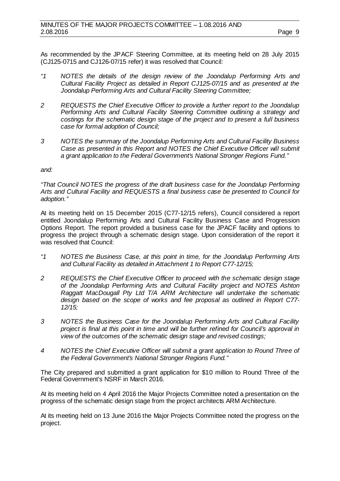As recommended by the JPACF Steering Committee, at its meeting held on 28 July 2015 (CJ125-0715 and CJ126-07/15 refer) it was resolved that Council:

- *"1 NOTES the details of the design review of the Joondalup Performing Arts and Cultural Facility Project as detailed in Report CJ125-07/15 and as presented at the Joondalup Performing Arts and Cultural Facility Steering Committee;*
- *2 REQUESTS the Chief Executive Officer to provide a further report to the Joondalup Performing Arts and Cultural Facility Steering Committee outlining a strategy and costings for the schematic design stage of the project and to present a full business case for formal adoption of Council;*
- *3 NOTES the summary of the Joondalup Performing Arts and Cultural Facility Business Case as presented in this Report and NOTES the Chief Executive Officer will submit a grant application to the Federal Government's National Stronger Regions Fund."*

*and:*

*"That Council NOTES the progress of the draft business case for the Joondalup Performing Arts and Cultural Facility and REQUESTS a final business case be presented to Council for adoption."*

At its meeting held on 15 December 2015 (C77-12/15 refers), Council considered a report entitled Joondalup Performing Arts and Cultural Facility Business Case and Progression Options Report. The report provided a business case for the JPACF facility and options to progress the project through a schematic design stage. Upon consideration of the report it was resolved that Council:

- *"1 NOTES the Business Case, at this point in time, for the Joondalup Performing Arts and Cultural Facility as detailed in Attachment 1 to Report C77-12/15;*
- *2 REQUESTS the Chief Executive Officer to proceed with the schematic design stage of the Joondalup Performing Arts and Cultural Facility project and NOTES Ashton Raggatt MacDougall Pty Ltd T/A ARM Architecture will undertake the schematic design based on the scope of works and fee proposal as outlined in Report C77- 12/15;*
- *3 NOTES the Business Case for the Joondalup Performing Arts and Cultural Facility project is final at this point in time and will be further refined for Council's approval in view of the outcomes of the schematic design stage and revised costings;*
- *4 NOTES the Chief Executive Officer will submit a grant application to Round Three of the Federal Government's National Stronger Regions Fund."*

The City prepared and submitted a grant application for \$10 million to Round Three of the Federal Government's NSRF in March 2016.

At its meeting held on 4 April 2016 the Major Projects Committee noted a presentation on the progress of the schematic design stage from the project architects ARM Architecture.

At its meeting held on 13 June 2016 the Major Projects Committee noted the progress on the project.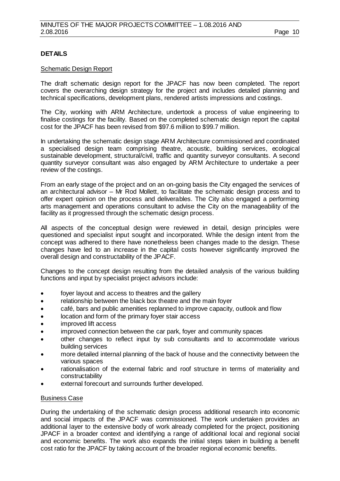# **DETAILS**

#### Schematic Design Report

The draft schematic design report for the JPACF has now been completed. The report covers the overarching design strategy for the project and includes detailed planning and technical specifications, development plans, rendered artists impressions and costings.

The City, working with ARM Architecture, undertook a process of value engineering to finalise costings for the facility. Based on the completed schematic design report the capital cost for the JPACF has been revised from \$97.6 million to \$99.7 million.

In undertaking the schematic design stage ARM Architecture commissioned and coordinated a specialised design team comprising theatre, acoustic, building services, ecological sustainable development, structural/civil, traffic and quantity surveyor consultants. A second quantity surveyor consultant was also engaged by ARM Architecture to undertake a peer review of the costings.

From an early stage of the project and on an on-going basis the City engaged the services of an architectural advisor – Mr Rod Mollett, to facilitate the schematic design process and to offer expert opinion on the process and deliverables. The City also engaged a performing arts management and operations consultant to advise the City on the manageability of the facility as it progressed through the schematic design process.

All aspects of the conceptual design were reviewed in detail, design principles were questioned and specialist input sought and incorporated. While the design intent from the concept was adhered to there have nonetheless been changes made to the design. These changes have led to an increase in the capital costs however significantly improved the overall design and constructability of the JPACF.

Changes to the concept design resulting from the detailed analysis of the various building functions and input by specialist project advisors include:

- foyer layout and access to theatres and the gallery
- relationship between the black box theatre and the main foyer
- café, bars and public amenities replanned to improve capacity, outlook and flow
- location and form of the primary foyer stair access
- improved lift access
- improved connection between the car park, foyer and community spaces
- other changes to reflect input by sub consultants and to accommodate various building services
- more detailed internal planning of the back of house and the connectivity between the various spaces
- rationalisation of the external fabric and roof structure in terms of materiality and constructability
- external forecourt and surrounds further developed.

#### Business Case

During the undertaking of the schematic design process additional research into economic and social impacts of the JPACF was commissioned. The work undertaken provides an additional layer to the extensive body of work already completed for the project, positioning JPACF in a broader context and identifying a range of additional local and regional social and economic benefits. The work also expands the initial steps taken in building a benefit cost ratio for the JPACF by taking account of the broader regional economic benefits.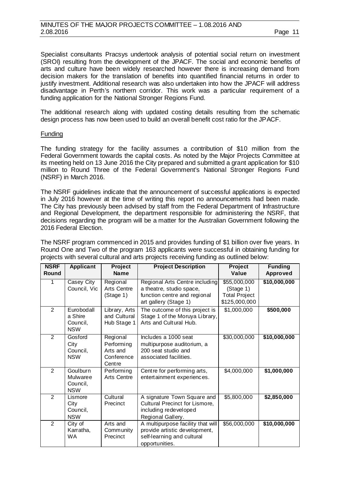Specialist consultants Pracsys undertook analysis of potential social return on investment (SROI) resulting from the development of the JPACF. The social and economic benefits of arts and culture have been widely researched however there is increasing demand from decision makers for the translation of benefits into quantified financial returns in order to justify investment. Additional research was also undertaken into how the JPACF will address disadvantage in Perth's northern corridor. This work was a particular requirement of a funding application for the National Stronger Regions Fund.

The additional research along with updated costing details resulting from the schematic design process has now been used to build an overall benefit cost ratio for the JPACF.

#### Funding

The funding strategy for the facility assumes a contribution of \$10 million from the Federal Government towards the capital costs. As noted by the Major Projects Committee at its meeting held on 13 June 2016 the City prepared and submitted a grant application for \$10 million to Round Three of the Federal Government's National Stronger Regions Fund (NSRF) in March 2016.

The NSRF guidelines indicate that the announcement of successful applications is expected in July 2016 however at the time of writing this report no announcements had been made. The City has previously been advised by staff from the Federal Department of Infrastructure and Regional Development, the department responsible for administering the NSRF, that decisions regarding the program will be a matter for the Australian Government following the 2016 Federal Election.

The NSRF program commenced in 2015 and provides funding of \$1 billion over five years. In Round One and Two of the program 163 applicants were successful in obtaining funding for projects with several cultural and arts projects receiving funding as outlined below:

| <b>NSRF</b><br><b>Round</b> | <b>Applicant</b>                                | Project<br><b>Name</b>                                      | <b>Project Description</b>                                                                                          | <b>Project</b><br>Value                                            | <b>Funding</b><br><b>Approved</b> |
|-----------------------------|-------------------------------------------------|-------------------------------------------------------------|---------------------------------------------------------------------------------------------------------------------|--------------------------------------------------------------------|-----------------------------------|
| 1                           | Casey City<br>Council, Vic                      | Regional<br>Arts Centre<br>(Stage 1)                        | Regional Arts Centre including<br>a theatre, studio space,<br>function centre and regional<br>art gallery (Stage 1) | \$55,000,000<br>(Stage 1)<br><b>Total Project</b><br>\$125,000,000 | \$10,000,000                      |
| $\overline{2}$              | Eurobodall<br>a Shire<br>Council,<br><b>NSW</b> | Library, Arts<br>and Cultural<br>Hub Stage 1                | The outcome of this project is<br>Stage 1 of the Moruya Library,<br>Arts and Cultural Hub.                          | \$1,000,000                                                        | \$500,000                         |
| $\overline{2}$              | Gosford<br>City<br>Council,<br><b>NSW</b>       | Regional<br>Performing<br>Arts and<br>Conference<br>Cent re | Includes a 1000 seat<br>multipurpose auditorium, a<br>200 seat studio and<br>associated facilities.                 | \$30,000,000                                                       | \$10,000,000                      |
| $\overline{2}$              | Goulburn<br>Mulwaree<br>Council,<br><b>NSW</b>  | Performing<br>Arts Centre                                   | Centre for performing arts,<br>entertainment experiences.                                                           | \$4,000,000                                                        | \$1,000,000                       |
| $\overline{2}$              | Lismore<br>City<br>Council,<br><b>NSW</b>       | Cultural<br>Precinct                                        | A signature Town Square and<br>Cultural Precinct for Lismore,<br>including redeveloped<br>Regional Gallery.         | \$5,800,000                                                        | \$2,850,000                       |
| $\overline{2}$              | City of<br>Karratha,<br><b>WA</b>               | Arts and<br>Community<br>Precinct                           | A multipurpose facility that will<br>provide artistic development,<br>self-learning and cultural<br>opportunities.  | \$56,000,000                                                       | \$10,000,000                      |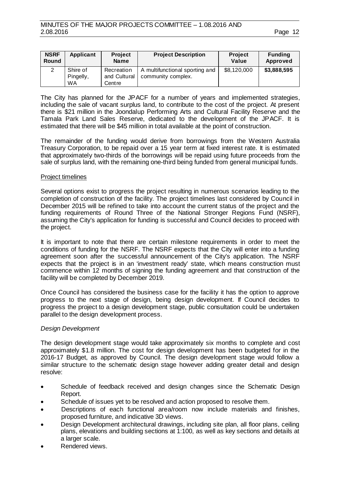| <b>NSRF</b><br>Round | Applicant                          | <b>Project</b><br><b>Name</b>         | <b>Project Description</b>                           | <b>Project</b><br>Value | <b>Funding</b><br>Approved |
|----------------------|------------------------------------|---------------------------------------|------------------------------------------------------|-------------------------|----------------------------|
|                      | Shire of<br>Pingelly,<br><b>WA</b> | Recreation<br>and Cultural<br>Cent re | A multifunctional sporting and<br>community complex. | \$8,120,000             | \$3,888,595                |

The City has planned for the JPACF for a number of years and implemented strategies, including the sale of vacant surplus land, to contribute to the cost of the project. At present there is \$21 million in the Joondalup Performing Arts and Cultural Facility Reserve and the Tamala Park Land Sales Reserve, dedicated to the development of the JPACF. It is estimated that there will be \$45 million in total available at the point of construction.

The remainder of the funding would derive from borrowings from the Western Australia Treasury Corporation, to be repaid over a 15 year term at fixed interest rate. It is estimated that approximately two-thirds of the borrowings will be repaid using future proceeds from the sale of surplus land, with the remaining one-third being funded from general municipal funds.

# Project timelines

Several options exist to progress the project resulting in numerous scenarios leading to the completion of construction of the facility. The project timelines last considered by Council in December 2015 will be refined to take into account the current status of the project and the funding requirements of Round Three of the National Stronger Regions Fund (NSRF), assuming the City's application for funding is successful and Council decides to proceed with the project.

It is important to note that there are certain milestone requirements in order to meet the conditions of funding for the NSRF. The NSRF expects that the City will enter into a funding agreement soon after the successful announcement of the City's application. The NSRF expects that the project is in an 'investment ready' state, which means construction must commence within 12 months of signing the funding agreement and that construction of the facility will be completed by December 2019.

Once Council has considered the business case for the facility it has the option to approve progress to the next stage of design, being design development. If Council decides to progress the project to a design development stage, public consultation could be undertaken parallel to the design development process.

#### *Design Development*

The design development stage would take approximately six months to complete and cost approximately \$1.8 million. The cost for design development has been budgeted for in the 2016-17 Budget, as approved by Council. The design development stage would follow a similar structure to the schematic design stage however adding greater detail and design resolve:

- Schedule of feedback received and design changes since the Schematic Design Report.
- Schedule of issues yet to be resolved and action proposed to resolve them.
- Descriptions of each functional area/room now include materials and finishes, proposed furniture, and indicative 3D views.
- Design Development architectural drawings, including site plan, all floor plans, ceiling plans, elevations and building sections at 1:100, as well as key sections and details at a larger scale.
- Rendered views.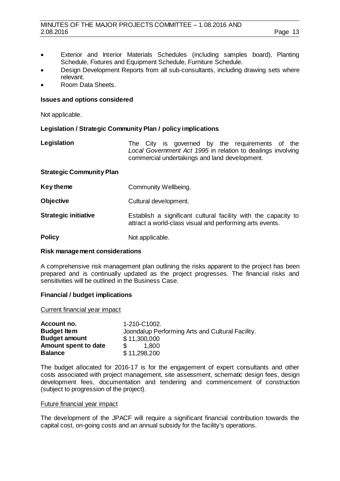# MINUTES OF THE MAJOR PROJECTS COMMITTEE - 1.08.2016 AND 2.08.2016 2.08.2016 Page 13

- Exterior and Interior Materials Schedules (including samples board), Planting Schedule, Fixtures and Equipment Schedule, Furniture Schedule.
- Design Development Reports from all sub‐consultants, including drawing sets where relevant.
- Room Data Sheets.

# **Issues and options considered**

Not applicable.

# **Legislation / Strategic Community Plan / policy implications**

| Legislation |  |  |  | The City is governed by the requirements of the             |  |
|-------------|--|--|--|-------------------------------------------------------------|--|
|             |  |  |  | Local Government Act 1995 in relation to dealings involving |  |
|             |  |  |  | commercial undertakings and land development.               |  |

# **Strategic Community Plan**

| Key theme | Community Wellbeing. |
|-----------|----------------------|
|-----------|----------------------|

| <b>Objective</b> | Cultural development. |
|------------------|-----------------------|
|------------------|-----------------------|

**Strategic initiative** Establish a significant cultural facility with the capacity to attract a world-class visual and performing arts events.

**Policy** Not applicable.

#### **Risk management considerations**

A comprehensive risk management plan outlining the risks apparent to the project has been prepared and is continually updated as the project progresses. The financial risks and sensitivities will be outlined in the Business Case.

# **Financial / budget implications**

Current financial year impact

| Account no.          | 1-210-C1002.                                     |
|----------------------|--------------------------------------------------|
| <b>Budget Item</b>   | Joondalup Performing Arts and Cultural Facility. |
| <b>Budget amount</b> | \$11,300,000                                     |
| Amount spent to date | 1.800                                            |
| <b>Balance</b>       | \$11,298,200                                     |

The budget allocated for 2016-17 is for the engagement of expert consultants and other costs associated with project management, site assessment, schematic design fees, design development fees, documentation and tendering and commencement of construction (subject to progression of the project).

#### Future financial year impact

The development of the JPACF will require a significant financial contribution towards the capital cost, on-going costs and an annual subsidy for the facility's operations.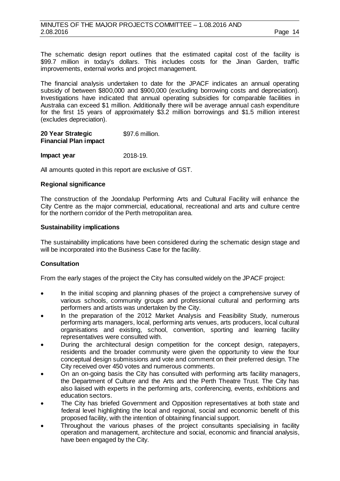The schematic design report outlines that the estimated capital cost of the facility is \$99.7 million in today's dollars. This includes costs for the Jinan Garden, traffic improvements, external works and project management.

The financial analysis undertaken to date for the JPACF indicates an annual operating subsidy of between \$800,000 and \$900,000 (excluding borrowing costs and depreciation). Investigations have indicated that annual operating subsidies for comparable facilities in Australia can exceed \$1 million. Additionally there will be average annual cash expenditure for the first 15 years of approximately \$3.2 million borrowings and \$1.5 million interest (excludes depreciation).

#### **20 Year Strategic Financial Plan impact**  \$97.6 million.

**Impact year** 2018-19.

All amounts quoted in this report are exclusive of GST.

# **Regional significance**

The construction of the Joondalup Performing Arts and Cultural Facility will enhance the City Centre as the major commercial, educational, recreational and arts and culture centre for the northern corridor of the Perth metropolitan area.

# **Sustainability implications**

The sustainability implications have been considered during the schematic design stage and will be incorporated into the Business Case for the facility.

# **Consultation**

From the early stages of the project the City has consulted widely on the JPACF project:

- In the initial scoping and planning phases of the project a comprehensive survey of various schools, community groups and professional cultural and performing arts performers and artists was undertaken by the City.
- In the preparation of the 2012 Market Analysis and Feasibility Study, numerous performing arts managers, local, performing arts venues, arts producers, local cultural organisations and existing, school, convention, sporting and learning facility representatives were consulted with.
- During the architectural design competition for the concept design, ratepayers, residents and the broader community were given the opportunity to view the four conceptual design submissions and vote and comment on their preferred design. The City received over 450 votes and numerous comments.
- On an on-going basis the City has consulted with performing arts facility managers, the Department of Culture and the Arts and the Perth Theatre Trust. The City has also liaised with experts in the performing arts, conferencing, events, exhibitions and education sectors.
- The City has briefed Government and Opposition representatives at both state and federal level highlighting the local and regional, social and economic benefit of this proposed facility, with the intention of obtaining financial support.
- Throughout the various phases of the project consultants specialising in facility operation and management, architecture and social, economic and financial analysis, have been engaged by the City.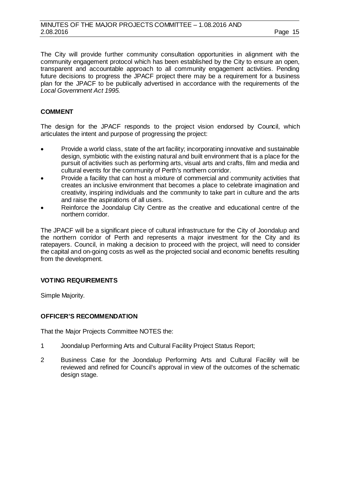The City will provide further community consultation opportunities in alignment with the community engagement protocol which has been established by the City to ensure an open, transparent and accountable approach to all community engagement activities. Pending future decisions to progress the JPACF project there may be a requirement for a business plan for the JPACF to be publically advertised in accordance with the requirements of the *Local Government Act 1995.* 

# **COMMENT**

The design for the JPACF responds to the project vision endorsed by Council, which articulates the intent and purpose of progressing the project:

- Provide a world class, state of the art facility; incorporating innovative and sustainable design, symbiotic with the existing natural and built environment that is a place for the pursuit of activities such as performing arts, visual arts and crafts, film and media and cultural events for the community of Perth's northern corridor.
- Provide a facility that can host a mixture of commercial and community activities that creates an inclusive environment that becomes a place to celebrate imagination and creativity, inspiring individuals and the community to take part in culture and the arts and raise the aspirations of all users.
- Reinforce the Joondalup City Centre as the creative and educational centre of the northern corridor.

The JPACF will be a significant piece of cultural infrastructure for the City of Joondalup and the northern corridor of Perth and represents a major investment for the City and its ratepayers. Council, in making a decision to proceed with the project, will need to consider the capital and on-going costs as well as the projected social and economic benefits resulting from the development.

# **VOTING REQUIREMENTS**

Simple Majority.

# **OFFICER'S RECOMMENDATION**

That the Major Projects Committee NOTES the:

- 1 Joondalup Performing Arts and Cultural Facility Project Status Report;
- 2 Business Case for the Joondalup Performing Arts and Cultural Facility will be reviewed and refined for Council's approval in view of the outcomes of the schematic design stage.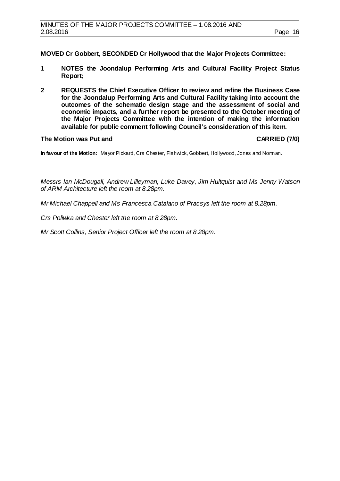**MOVED Cr Gobbert, SECONDED Cr Hollywood that the Major Projects Committee:**

- **1 NOTES the Joondalup Performing Arts and Cultural Facility Project Status Report;**
- **2 REQUESTS the Chief Executive Officer to review and refine the Business Case for the Joondalup Performing Arts and Cultural Facility taking into account the outcomes of the schematic design stage and the assessment of social and economic impacts, and a further report be presented to the October meeting of the Major Projects Committee with the intention of making the information available for public comment following Council's consideration of this item.**

# **The Motion was Put and CARRIED (7/0)**

**In favour of the Motion:** Mayor Pickard, Crs Chester, Fishwick, Gobbert, Hollywood, Jones and Norman.

*Messrs Ian McDougall, Andrew Lilleyman, Luke Davey, Jim Hultquist and Ms Jenny Watson of ARM Architecture left the room at 8.28pm.*

*Mr Michael Chappell and Ms Francesca Catalano of Pracsys left the room at 8.28pm.*

*Crs Poliwka and Chester left the room at 8.28pm.*

*Mr Scott Collins, Senior Project Officer left the room at 8.28pm.*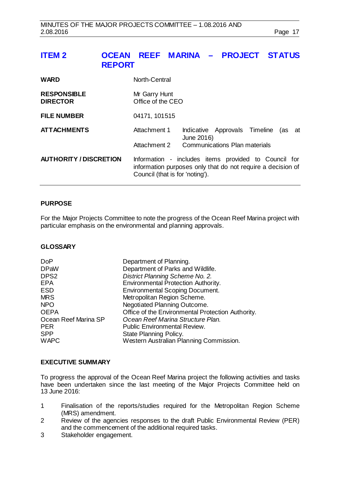# <span id="page-16-0"></span>**ITEM 2 OCEAN REEF MARINA – PROJECT STATUS REPORT**

| <b>WARD</b>                           | North-Central                                                                                                                                          |            |                                      |     |    |
|---------------------------------------|--------------------------------------------------------------------------------------------------------------------------------------------------------|------------|--------------------------------------|-----|----|
| <b>RESPONSIBLE</b><br><b>DIRECTOR</b> | Mr Garry Hunt<br>Office of the CEO                                                                                                                     |            |                                      |     |    |
| <b>FILE NUMBER</b>                    | 04171, 101515                                                                                                                                          |            |                                      |     |    |
| <b>ATTACHMENTS</b>                    | Attachment 1                                                                                                                                           | June 2016) | Indicative Approvals Timeline        | (as | at |
|                                       | Attachment 2                                                                                                                                           |            | <b>Communications Plan materials</b> |     |    |
| <b>AUTHORITY / DISCRETION</b>         | Information - includes items provided to Council for<br>information purposes only that do not require a decision of<br>Council (that is for 'noting'). |            |                                      |     |    |

# **PURPOSE**

For the Major Projects Committee to note the progress of the Ocean Reef Marina project with particular emphasis on the environmental and planning approvals.

#### **GLOSSARY**

| <b>DoP</b>           | Department of Planning.                           |
|----------------------|---------------------------------------------------|
| <b>DPaW</b>          | Department of Parks and Wildlife.                 |
| DPS <sub>2</sub>     | District Planning Scheme No. 2.                   |
| <b>EPA</b>           | Environmental Protection Authority.               |
| <b>ESD</b>           | <b>Environmental Scoping Document.</b>            |
| <b>MRS</b>           | Metropolitan Region Scheme.                       |
| <b>NPO</b>           | Negotiated Planning Outcome.                      |
| <b>OEPA</b>          | Office of the Environmental Protection Authority. |
| Ocean Reef Marina SP | Ocean Reef Marina Structure Plan.                 |
| <b>PER</b>           | <b>Public Environmental Review.</b>               |
| <b>SPP</b>           | State Planning Policy.                            |
| <b>WAPC</b>          | Western Australian Planning Commission.           |
|                      |                                                   |

# **EXECUTIVE SUMMARY**

To progress the approval of the Ocean Reef Marina project the following activities and tasks have been undertaken since the last meeting of the Major Projects Committee held on 13 June 2016:

- 1 Finalisation of the reports/studies required for the Metropolitan Region Scheme (MRS) amendment.
- 2 Review of the agencies responses to the draft Public Environmental Review (PER) and the commencement of the additional required tasks.
- 3 Stakeholder engagement.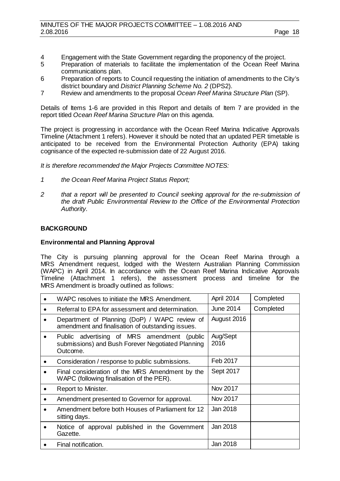- 4 Engagement with the State Government regarding the proponency of the project.<br>5 Preparation of materials to facilitate the implementation of the Ocean Reef Ma
- Preparation of materials to facilitate the implementation of the Ocean Reef Marina communications plan.
- 6 Preparation of reports to Council requesting the initiation of amendments to the City's district boundary and *District Planning Scheme No. 2* (DPS2).
- 7 Review and amendments to the proposal *Ocean Reef Marina Structure Plan* (SP).

Details of Items 1-6 are provided in this Report and details of Item 7 are provided in the report titled *Ocean Reef Marina Structure Plan* on this agenda.

The project is progressing in accordance with the Ocean Reef Marina Indicative Approvals Timeline (Attachment 1 refers). However it should be noted that an updated PER timetable is anticipated to be received from the Environmental Protection Authority (EPA) taking cognisance of the expected re-submission date of 22 August 2016.

*It is therefore recommended the Major Projects Committee NOTES:*

- *1 the Ocean Reef Marina Project Status Report;*
- *2 that a report will be presented to Council seeking approval for the re-submission of the draft Public Environmental Review to the Office of the Environmental Protection Authority.*

# **BACKGROUND**

# **Environmental and Planning Approval**

The City is pursuing planning approval for the Ocean Reef Marina through a MRS Amendment request, lodged with the Western Australian Planning Commission (WAPC) in April 2014. In accordance with the Ocean Reef Marina Indicative Approvals Timeline (Attachment 1 refers), the assessment process and timeline for the MRS Amendment is broadly outlined as follows:

|           | WAPC resolves to initiate the MRS Amendment.                                                                 | April 2014       | Completed |
|-----------|--------------------------------------------------------------------------------------------------------------|------------------|-----------|
|           | Referral to EPA for assessment and determination.                                                            | June 2014        | Completed |
|           | Department of Planning (DoP) / WAPC review of<br>amendment and finalisation of outstanding issues.           | August 2016      |           |
| $\bullet$ | Public advertising of MRS amendment (public<br>submissions) and Bush Forever Negotiated Planning<br>Outcome. | Aug/Sept<br>2016 |           |
| $\bullet$ | Consideration / response to public submissions.                                                              | Feb 2017         |           |
|           | Final consideration of the MRS Amendment by the<br>WAPC (following finalisation of the PER).                 | Sept 2017        |           |
|           | Report to Minister.                                                                                          | Nov 2017         |           |
|           | Amendment presented to Governor for approval.                                                                | Nov 2017         |           |
|           | Amendment before both Houses of Parliament for 12<br>sitting days.                                           | Jan 2018         |           |
|           | Notice of approval published in the Government<br>Gazette.                                                   | Jan 2018         |           |
|           | Final notification.                                                                                          | Jan 2018         |           |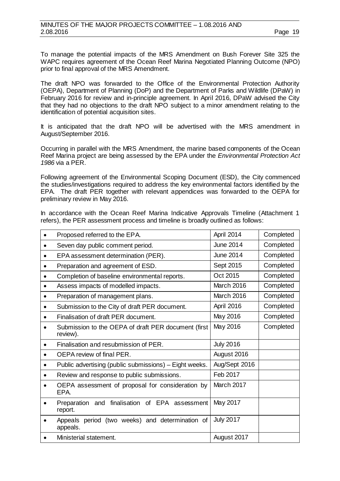To manage the potential impacts of the MRS Amendment on Bush Forever Site 325 the WAPC requires agreement of the Ocean Reef Marina Negotiated Planning Outcome (NPO) prior to final approval of the MRS Amendment.

The draft NPO was forwarded to the Office of the Environmental Protection Authority (OEPA), Department of Planning (DoP) and the Department of Parks and Wildlife (DPaW) in February 2016 for review and in-principle agreement. In April 2016, DPaW advised the City that they had no objections to the draft NPO subject to a minor amendment relating to the identification of potential acquisition sites.

It is anticipated that the draft NPO will be advertised with the MRS amendment in August/September 2016.

Occurring in parallel with the MRS Amendment, the marine based components of the Ocean Reef Marina project are being assessed by the EPA under the *Environmental Protection Act 1986* via a PER.

Following agreement of the Environmental Scoping Document (ESD), the City commenced the studies/investigations required to address the key environmental factors identified by the EPA. The draft PER together with relevant appendices was forwarded to the OEPA for preliminary review in May 2016.

In accordance with the Ocean Reef Marina Indicative Approvals Timeline (Attachment 1 refers), the PER assessment process and timeline is broadly outlined as follows:

|           | Proposed referred to the EPA.                                   | April 2014       | Completed |
|-----------|-----------------------------------------------------------------|------------------|-----------|
| $\bullet$ | Seven day public comment period.                                | <b>June 2014</b> | Completed |
|           | EPA assessment determination (PER).                             | <b>June 2014</b> | Completed |
| $\bullet$ | Preparation and agreement of ESD.                               | Sept 2015        | Completed |
|           | Completion of baseline environmental reports.                   | Oct 2015         | Completed |
|           | Assess impacts of modelled impacts.                             | March 2016       | Completed |
|           | Preparation of management plans.                                | March 2016       | Completed |
|           | Submission to the City of draft PER document.                   | April 2016       | Completed |
|           | Finalisation of draft PER document.                             | May 2016         | Completed |
|           | Submission to the OEPA of draft PER document (first<br>review). | May 2016         | Completed |
|           | Finalisation and resubmission of PER.                           | <b>July 2016</b> |           |
| $\bullet$ | OEPA review of final PER.                                       | August 2016      |           |
| $\bullet$ | Public advertising (public submissions) - Eight weeks.          | Aug/Sept 2016    |           |
|           | Review and response to public submissions.                      | Feb 2017         |           |
|           | OEPA assessment of proposal for consideration by<br>EPA.        | March 2017       |           |
|           | and finalisation of EPA assessment<br>Preparation<br>report.    | May 2017         |           |
|           | Appeals period (two weeks) and determination of<br>appeals.     | <b>July 2017</b> |           |
|           | Ministerial statement.                                          | August 2017      |           |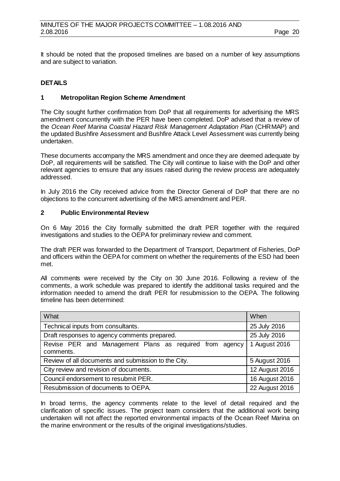It should be noted that the proposed timelines are based on a number of key assumptions and are subject to variation.

# **DETAILS**

# **1 Metropolitan Region Scheme Amendment**

The City sought further confirmation from DoP that all requirements for advertising the MRS amendment concurrently with the PER have been completed. DoP advised that a review of the *Ocean Reef Marina Coastal Hazard Risk Management Adaptation Plan* (CHRMAP) and the updated Bushfire Assessment and Bushfire Attack Level Assessment was currently being undertaken.

These documents accompany the MRS amendment and once they are deemed adequate by DoP, all requirements will be satisfied. The City will continue to liaise with the DoP and other relevant agencies to ensure that any issues raised during the review process are adequately addressed.

In July 2016 the City received advice from the Director General of DoP that there are no objections to the concurrent advertising of the MRS amendment and PER.

# **2 Public Environmental Review**

On 6 May 2016 the City formally submitted the draft PER together with the required investigations and studies to the OEPA for preliminary review and comment.

The draft PER was forwarded to the Department of Transport, Department of Fisheries, DoP and officers within the OEPA for comment on whether the requirements of the ESD had been met.

All comments were received by the City on 30 June 2016. Following a review of the comments, a work schedule was prepared to identify the additional tasks required and the information needed to amend the draft PER for resubmission to the OEPA. The following timeline has been determined:

| What                                                                 | When           |
|----------------------------------------------------------------------|----------------|
| Technical inputs from consultants.                                   | 25 July 2016   |
| Draft responses to agency comments prepared.                         | 25 July 2016   |
| Revise PER and Management Plans as required from agency<br>comments. | 1 August 2016  |
| Review of all documents and submission to the City.                  | 5 August 2016  |
| City review and revision of documents.                               | 12 August 2016 |
| Council endorsement to resubmit PER.                                 | 16 August 2016 |
| Resubmission of documents to OEPA.                                   | 22 August 2016 |

In broad terms, the agency comments relate to the level of detail required and the clarification of specific issues. The project team considers that the additional work being undertaken will not affect the reported environmental impacts of the Ocean Reef Marina on the marine environment or the results of the original investigations/studies.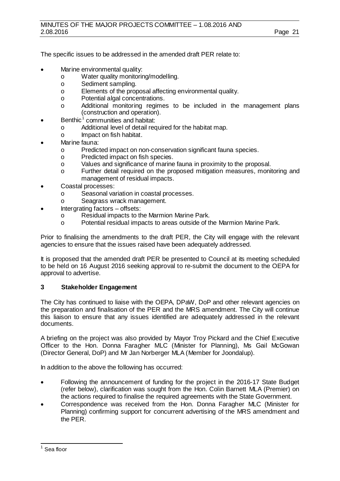The specific issues to be addressed in the amended draft PER relate to:

- Marine environmental quality:
	- o Water quality monitoring/modelling.<br>
	o Sediment sampling.
	- o Sediment sampling.<br> **b** Elements of the prop
	- o Elements of the proposal affecting environmental quality.<br>
	o Potential algal concentrations.
	- o Potential algal concentrations.<br>
	o Additional monitoring regime
	- Additional monitoring regimes to be included in the management plans (construction and operation).
- Benthic<sup>[1](#page-20-0)</sup> communities and habitat:
	- o Additional level of detail required for the habitat map.<br>
	o lmpact on fish habitat.
	- Impact on fish habitat.
- Marine fauna:
	- o Predicted impact on non-conservation significant fauna species.<br>
	o Predicted impact on fish species.
	- o Predicted impact on fish species.<br>
	O Values and significance of marine
	- o Values and significance of marine fauna in proximity to the proposal.<br>
	Interpretation of Further detail required on the proposed mitigation measures, moniment
	- Further detail required on the proposed mitigation measures, monitoring and management of residual impacts.
- Coastal processes:
	- o Seasonal variation in coastal processes.<br>
	o Seagrass wrack management.
	- Seagrass wrack management.
- Intergrating factors offsets:
	- o Residual impacts to the Marmion Marine Park.<br>
	Potential residual impacts to areas outside of the
	- Potential residual impacts to areas outside of the Marmion Marine Park.

Prior to finalising the amendments to the draft PER, the City will engage with the relevant agencies to ensure that the issues raised have been adequately addressed.

It is proposed that the amended draft PER be presented to Council at its meeting scheduled to be held on 16 August 2016 seeking approval to re-submit the document to the OEPA for approval to advertise.

# **3 Stakeholder Engagement**

The City has continued to liaise with the OEPA, DPaW, DoP and other relevant agencies on the preparation and finalisation of the PER and the MRS amendment. The City will continue this liaison to ensure that any issues identified are adequately addressed in the relevant documents.

A briefing on the project was also provided by Mayor Troy Pickard and the Chief Executive Officer to the Hon. Donna Faragher MLC (Minister for Planning), Ms Gail McGowan (Director General, DoP) and Mr Jan Norberger MLA (Member for Joondalup).

In addition to the above the following has occurred:

- Following the announcement of funding for the project in the 2016-17 State Budget (refer below), clarification was sought from the Hon. Colin Barnett MLA (Premier) on the actions required to finalise the required agreements with the State Government.
- Correspondence was received from the Hon. Donna Faragher MLC (Minister for Planning) confirming support for concurrent advertising of the MRS amendment and the PER.

<span id="page-20-0"></span> $1$  Sea floor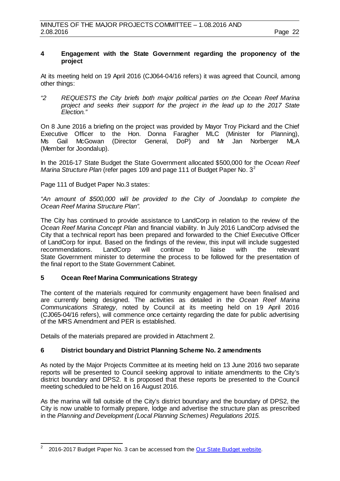# **4 Engagement with the State Government regarding the proponency of the project**

At its meeting held on 19 April 2016 (CJ064-04/16 refers) it was agreed that Council, among other things:

*"2 REQUESTS the City briefs both major political parties on the Ocean Reef Marina project and seeks their support for the project in the lead up to the 2017 State Election."*

On 8 June 2016 a briefing on the project was provided by Mayor Troy Pickard and the Chief Executive Officer to the Hon. Donna Faragher MLC (Minister for Planning),<br>Ms Gail McGowan (Director General, DoP) and Mr Jan Norberger MLA McGowan (Director General, DoP) and Mr<sup>1</sup> Jan Norberger MLA (Member for Joondalup).

In the 2016-17 State Budget the State Government allocated \$500,000 for the *Ocean Reef Marina Structure Plan* (refer pages 109 and page 111 of Budget Paper No. 3<sup>[2](#page-21-0)</sup>

Page 111 of Budget Paper No.3 states:

*"An amount of \$500,000 will be provided to the City of Joondalup to complete the Ocean Reef Marina Structure Plan".*

The City has continued to provide assistance to LandCorp in relation to the review of the *Ocean Reef Marina Concept Plan* and financial viability. In July 2016 LandCorp advised the City that a technical report has been prepared and forwarded to the Chief Executive Officer of LandCorp for input. Based on the findings of the review, this input will include suggested recommendations. LandCorp will continue to liaise with the relevant recommendations. LandCorp will continue to liaise with the relevant State Government minister to determine the process to be followed for the presentation of the final report to the State Government Cabinet.

# **5 Ocean Reef Marina Communications Strategy**

The content of the materials required for community engagement have been finalised and are currently being designed. The activities as detailed in the *Ocean Reef Marina Communications Strategy,* noted by Council at its meeting held on 19 April 2016 (CJ065-04/16 refers), will commence once certainty regarding the date for public advertising of the MRS Amendment and PER is established.

Details of the materials prepared are provided in Attachment 2.

# **6 District boundary and District Planning Scheme No. 2 amendments**

As noted by the Major Projects Committee at its meeting held on 13 June 2016 two separate reports will be presented to Council seeking approval to initiate amendments to the City's district boundary and DPS2. It is proposed that these reports be presented to the Council meeting scheduled to be held on 16 August 2016.

As the marina will fall outside of the City's district boundary and the boundary of DPS2, the City is now unable to formally prepare, lodge and advertise the structure plan as prescribed in the *Planning and Development (Local Planning Schemes) Regulations 2015.*

<span id="page-21-0"></span> <sup>2</sup> 2016-2017 Budget Paper No. 3 can be accessed from the [Our State Budget website.](http://www.ourstatebudget.wa.gov.au/Budget-Papers/)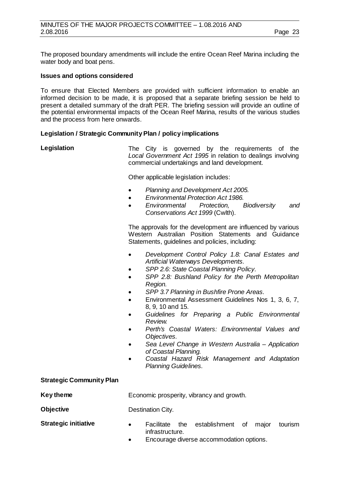The proposed boundary amendments will include the entire Ocean Reef Marina including the water body and boat pens.

#### **Issues and options considered**

To ensure that Elected Members are provided with sufficient information to enable an informed decision to be made, it is proposed that a separate briefing session be held to present a detailed summary of the draft PER. The briefing session will provide an outline of the potential environmental impacts of the Ocean Reef Marina, results of the various studies and the process from here onwards.

# **Legislation / Strategic Community Plan / policy implications**

| Legislation                     | The City is governed by the requirements of the<br>Local Government Act 1995 in relation to dealings involving<br>commercial undertakings and land development.                                                                                                                                                                                                                                                                                                                                                                                                                                                                                                               |
|---------------------------------|-------------------------------------------------------------------------------------------------------------------------------------------------------------------------------------------------------------------------------------------------------------------------------------------------------------------------------------------------------------------------------------------------------------------------------------------------------------------------------------------------------------------------------------------------------------------------------------------------------------------------------------------------------------------------------|
|                                 | Other applicable legislation includes:                                                                                                                                                                                                                                                                                                                                                                                                                                                                                                                                                                                                                                        |
|                                 | Planning and Development Act 2005.<br>$\bullet$<br><b>Environmental Protection Act 1986.</b><br>$\bullet$<br>Environmental<br>Protection,<br><b>Biodiversity</b><br>and<br>$\bullet$<br>Conservations Act 1999 (Cwlth).                                                                                                                                                                                                                                                                                                                                                                                                                                                       |
|                                 | The approvals for the development are influenced by various<br>Western Australian Position Statements and Guidance<br>Statements, guidelines and policies, including:                                                                                                                                                                                                                                                                                                                                                                                                                                                                                                         |
|                                 | Development Control Policy 1.8: Canal Estates and<br>Artificial Waterways Developments.<br>SPP 2.6: State Coastal Planning Policy.<br>٠<br>SPP 2.8: Bushland Policy for the Perth Metropolitan<br>$\bullet$<br>Region.<br>SPP 3.7 Planning in Bushfire Prone Areas.<br>Environmental Assessment Guidelines Nos 1, 3, 6, 7,<br>$\bullet$<br>8, 9, 10 and 15.<br>Guidelines for Preparing a Public Environmental<br>Review.<br>Perth's Coastal Waters: Environmental Values and<br>Objectives.<br>Sea Level Change in Western Australia - Application<br>٠<br>of Coastal Planning.<br>Coastal Hazard Risk Management and Adaptation<br>$\bullet$<br><b>Planning Guidelines.</b> |
| <b>Strategic Community Plan</b> |                                                                                                                                                                                                                                                                                                                                                                                                                                                                                                                                                                                                                                                                               |
| <b>Key theme</b>                | Economic prosperity, vibrancy and growth.                                                                                                                                                                                                                                                                                                                                                                                                                                                                                                                                                                                                                                     |
| <b>Objective</b>                | Destination City.                                                                                                                                                                                                                                                                                                                                                                                                                                                                                                                                                                                                                                                             |
| <b>Strategic initiative</b>     | Facilitate<br>establishment<br>the<br>of<br>major<br>tourism<br>infrastructure.<br>Encourage diverse accommodation options.                                                                                                                                                                                                                                                                                                                                                                                                                                                                                                                                                   |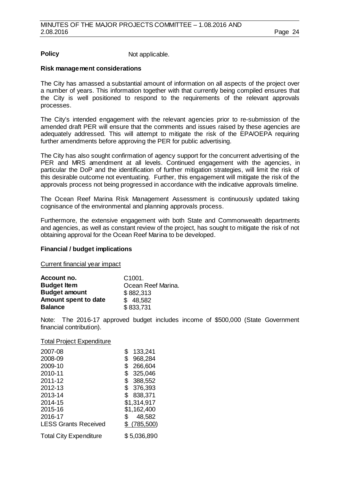**Policy** Not applicable.

# **Risk management considerations**

The City has amassed a substantial amount of information on all aspects of the project over a number of years. This information together with that currently being compiled ensures that the City is well positioned to respond to the requirements of the relevant approvals processes.

The City's intended engagement with the relevant agencies prior to re-submission of the amended draft PER will ensure that the comments and issues raised by these agencies are adequately addressed. This will attempt to mitigate the risk of the EPA/OEPA requiring further amendments before approving the PER for public advertising.

The City has also sought confirmation of agency support for the concurrent advertising of the PER and MRS amendment at all levels. Continued engagement with the agencies, in particular the DoP and the identification of further mitigation strategies, will limit the risk of this desirable outcome not eventuating. Further, this engagement will mitigate the risk of the approvals process not being progressed in accordance with the indicative approvals timeline.

The Ocean Reef Marina Risk Management Assessment is continuously updated taking cognisance of the environmental and planning approvals process.

Furthermore, the extensive engagement with both State and Commonwealth departments and agencies, as well as constant review of the project, has sought to mitigate the risk of not obtaining approval for the Ocean Reef Marina to be developed.

# **Financial / budget implications**

Current financial year impact

| Account no.          | C <sub>1001</sub>  |
|----------------------|--------------------|
| <b>Budget Item</b>   | Ocean Reef Marina. |
| <b>Budget amount</b> | \$882,313          |
| Amount spent to date | \$48,582           |
| <b>Balance</b>       | \$833,731          |

Note: The 2016-17 approved budget includes income of \$500,000 (State Government financial contribution).

#### Total Project Expenditure

| 2007-08                       | 133,241       |
|-------------------------------|---------------|
| 2008-09                       | \$<br>968,284 |
| 2009-10                       | 266,604<br>\$ |
| 2010-11                       | 325,046<br>\$ |
| 2011-12                       | 388,552<br>\$ |
| 2012-13                       | \$<br>376,393 |
| 2013-14                       | 838,371<br>\$ |
| 2014-15                       | \$1,314,917   |
| 2015-16                       | \$1,162,400   |
| 2016-17                       | 48,582<br>S   |
| <b>LESS Grants Received</b>   | \$(785,500)   |
| <b>Total City Expenditure</b> | \$5,036,890   |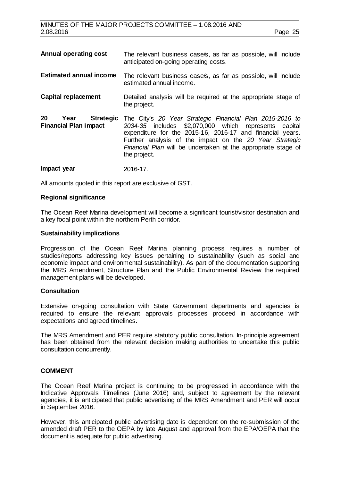| <b>Annual operating cost</b>                                   | The relevant business case/s, as far as possible, will include<br>anticipated on-going operating costs.                                                                                                                                                                                                                    |
|----------------------------------------------------------------|----------------------------------------------------------------------------------------------------------------------------------------------------------------------------------------------------------------------------------------------------------------------------------------------------------------------------|
| <b>Estimated annual income</b>                                 | The relevant business case/s, as far as possible, will include<br>estimated annual income.                                                                                                                                                                                                                                 |
| <b>Capital replacement</b>                                     | Detailed analysis will be required at the appropriate stage of<br>the project.                                                                                                                                                                                                                                             |
| 20<br><b>Strategic</b><br>Year<br><b>Financial Plan impact</b> | The City's 20 Year Strategic Financial Plan 2015-2016 to<br>2034-35 includes \$2,070,000 which represents capital<br>expenditure for the 2015-16, 2016-17 and financial years.<br>Further analysis of the impact on the 20 Year Strategic<br>Financial Plan will be undertaken at the appropriate stage of<br>the project. |
| Impact year                                                    | 2016-17.                                                                                                                                                                                                                                                                                                                   |

All amounts quoted in this report are exclusive of GST.

#### **Regional significance**

The Ocean Reef Marina development will become a significant tourist/visitor destination and a key focal point within the northern Perth corridor.

#### **Sustainability implications**

Progression of the Ocean Reef Marina planning process requires a number of studies/reports addressing key issues pertaining to sustainability (such as social and economic impact and environmental sustainability). As part of the documentation supporting the MRS Amendment, Structure Plan and the Public Environmental Review the required management plans will be developed.

#### **Consultation**

Extensive on-going consultation with State Government departments and agencies is required to ensure the relevant approvals processes proceed in accordance with expectations and agreed timelines.

The MRS Amendment and PER require statutory public consultation. In-principle agreement has been obtained from the relevant decision making authorities to undertake this public consultation concurrently.

#### **COMMENT**

The Ocean Reef Marina project is continuing to be progressed in accordance with the Indicative Approvals Timelines (June 2016) and, subject to agreement by the relevant agencies, it is anticipated that public advertising of the MRS Amendment and PER will occur in September 2016.

However, this anticipated public advertising date is dependent on the re-submission of the amended draft PER to the OEPA by late August and approval from the EPA/OEPA that the document is adequate for public advertising.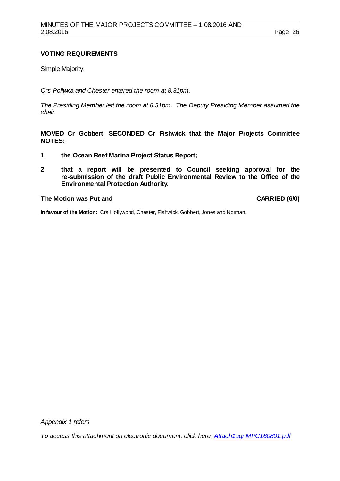# **VOTING REQUIREMENTS**

Simple Majority.

*Crs Poliwka and Chester entered the room at 8.31pm.*

*The Presiding Member left the room at 8.31pm. The Deputy Presiding Member assumed the chair.*

**MOVED Cr Gobbert, SECONDED Cr Fishwick that the Major Projects Committee NOTES:**

- **1 the Ocean Reef Marina Project Status Report;**
- **2 that a report will be presented to Council seeking approval for the re-submission of the draft Public Environmental Review to the Office of the Environmental Protection Authority.**

#### **The Motion was Put and CARRIED (6/0)**

**In favour of the Motion:** Crs Hollywood, Chester, Fishwick, Gobbert, Jones and Norman.

*Appendix 1 refers*

*[To access this attachment on electronic document, click here: Attach1agnMPC160801.pdf](http://www.joondalup.wa.gov.au/files/committees/MAPC/2016/Attach1agnMPC160801.pdf)*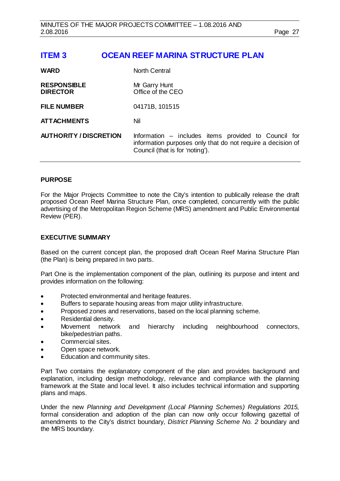# <span id="page-26-0"></span>**ITEM 3 OCEAN REEF MARINA STRUCTURE PLAN**

| <b>WARD</b>                           | <b>North Central</b>                                                                                                                                   |
|---------------------------------------|--------------------------------------------------------------------------------------------------------------------------------------------------------|
| <b>RESPONSIBLE</b><br><b>DIRECTOR</b> | Mr Garry Hunt<br>Office of the CEO                                                                                                                     |
| <b>FILE NUMBER</b>                    | 04171B, 101515                                                                                                                                         |
| <b>ATTACHMENTS</b>                    | Nil                                                                                                                                                    |
| <b>AUTHORITY / DISCRETION</b>         | Information – includes items provided to Council for<br>information purposes only that do not require a decision of<br>Council (that is for 'noting'). |

# **PURPOSE**

For the Major Projects Committee to note the City's intention to publically release the draft proposed Ocean Reef Marina Structure Plan, once completed, concurrently with the public advertising of the Metropolitan Region Scheme (MRS) amendment and Public Environmental Review (PER).

#### **EXECUTIVE SUMMARY**

Based on the current concept plan, the proposed draft Ocean Reef Marina Structure Plan (the Plan) is being prepared in two parts.

Part One is the implementation component of the plan, outlining its purpose and intent and provides information on the following:

- Protected environmental and heritage features.
- Buffers to separate housing areas from major utility infrastructure.
- Proposed zones and reservations, based on the local planning scheme.
- Residential density.
- Movement network and hierarchy including neighbourhood connectors, bike/pedestrian paths.
- Commercial sites.
- Open space network.
- Education and community sites.

Part Two contains the explanatory component of the plan and provides background and explanation, including design methodology, relevance and compliance with the planning framework at the State and local level. It also includes technical information and supporting plans and maps.

Under the new *Planning and Development (Local Planning Schemes) Regulations 2015,*  formal consideration and adoption of the plan can now only occur following gazettal of amendments to the City's district boundary, *District Planning Scheme No. 2* boundary and the MRS boundary.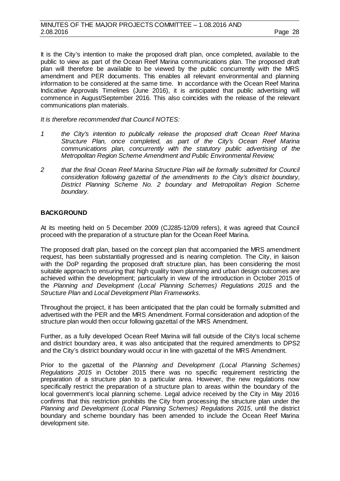It is the City's intention to make the proposed draft plan, once completed, available to the public to view as part of the Ocean Reef Marina communications plan. The proposed draft plan will therefore be available to be viewed by the public concurrently with the MRS amendment and PER documents. This enables all relevant environmental and planning information to be considered at the same time. In accordance with the Ocean Reef Marina Indicative Approvals Timelines (June 2016), it is anticipated that public advertising will commence in August/September 2016. This also coincides with the release of the relevant communications plan materials.

*It is therefore recommended that Council NOTES:*

- *1 the City's intention to publically release the proposed draft Ocean Reef Marina Structure Plan, once completed, as part of the City's Ocean Reef Marina communications plan, concurrently with the statutory public advertising of the Metropolitan Region Scheme Amendment and Public Environmental Review;*
- *2 that the final Ocean Reef Marina Structure Plan will be formally submitted for Council consideration following gazettal of the amendments to the City's district boundary, District Planning Scheme No. 2 boundary and Metropolitan Region Scheme boundary.*

# **BACKGROUND**

At its meeting held on 5 December 2009 (CJ285-12/09 refers), it was agreed that Council proceed with the preparation of a structure plan for the Ocean Reef Marina.

The proposed draft plan, based on the concept plan that accompanied the MRS amendment request, has been substantially progressed and is nearing completion. The City, in liaison with the DoP regarding the proposed draft structure plan, has been considering the most suitable approach to ensuring that high quality town planning and urban design outcomes are achieved within the development; particularly in view of the introduction in October 2015 of the *Planning and Development (Local Planning Schemes) Regulations 2015* and the *Structure Plan* and *Local Development Plan Frameworks.*

Throughout the project, it has been anticipated that the plan could be formally submitted and advertised with the PER and the MRS Amendment. Formal consideration and adoption of the structure plan would then occur following gazettal of the MRS Amendment.

Further, as a fully developed Ocean Reef Marina will fall outside of the City's local scheme and district boundary area, it was also anticipated that the required amendments to DPS2 and the City's district boundary would occur in line with gazettal of the MRS Amendment.

Prior to the gazettal of the *Planning and Development (Local Planning Schemes) Regulations 2015* in October 2015 there was no specific requirement restricting the preparation of a structure plan to a particular area. However, the new regulations now specifically restrict the preparation of a structure plan to areas within the boundary of the local government's local planning scheme. Legal advice received by the City in May 2016 confirms that this restriction prohibits the City from processing the structure plan under the *Planning and Development (Local Planning Schemes) Regulations 2015*, until the district boundary and scheme boundary has been amended to include the Ocean Reef Marina development site.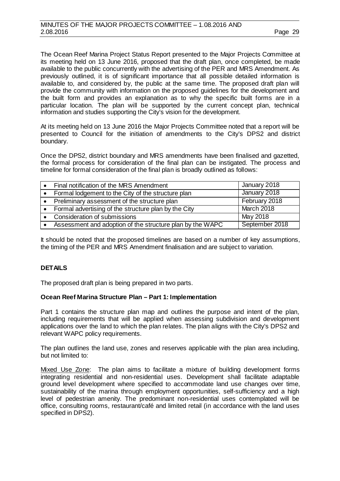The Ocean Reef Marina Project Status Report presented to the Major Projects Committee at its meeting held on 13 June 2016, proposed that the draft plan, once completed, be made available to the public concurrently with the advertising of the PER and MRS Amendment. As previously outlined, it is of significant importance that all possible detailed information is available to, and considered by, the public at the same time. The proposed draft plan will provide the community with information on the proposed guidelines for the development and the built form and provides an explanation as to why the specific built forms are in a particular location. The plan will be supported by the current concept plan, technical information and studies supporting the City's vision for the development.

At its meeting held on 13 June 2016 the Major Projects Committee noted that a report will be presented to Council for the initiation of amendments to the City's DPS2 and district boundary.

Once the DPS2, district boundary and MRS amendments have been finalised and gazetted, the formal process for consideration of the final plan can be instigated. The process and timeline for formal consideration of the final plan is broadly outlined as follows:

| Final notification of the MRS Amendment                   | January 2018   |
|-----------------------------------------------------------|----------------|
| Formal lodgement to the City of the structure plan        | January 2018   |
| Preliminary assessment of the structure plan              | February 2018  |
| Formal advertising of the structure plan by the City      | March 2018     |
| Consideration of submissions                              | May 2018       |
| Assessment and adoption of the structure plan by the WAPC | September 2018 |

It should be noted that the proposed timelines are based on a number of key assumptions, the timing of the PER and MRS Amendment finalisation and are subject to variation.

# **DETAILS**

The proposed draft plan is being prepared in two parts.

# **Ocean Reef Marina Structure Plan – Part 1: Implementation**

Part 1 contains the structure plan map and outlines the purpose and intent of the plan, including requirements that will be applied when assessing subdivision and development applications over the land to which the plan relates. The plan aligns with the City's DPS2 and relevant WAPC policy requirements.

The plan outlines the land use, zones and reserves applicable with the plan area including, but not limited to:

Mixed Use Zone: The plan aims to facilitate a mixture of building development forms integrating residential and non-residential uses. Development shall facilitate adaptable ground level development where specified to accommodate land use changes over time, sustainability of the marina through employment opportunities, self-sufficiency and a high level of pedestrian amenity. The predominant non-residential uses contemplated will be office, consulting rooms, restaurant/café and limited retail (in accordance with the land uses specified in DPS2).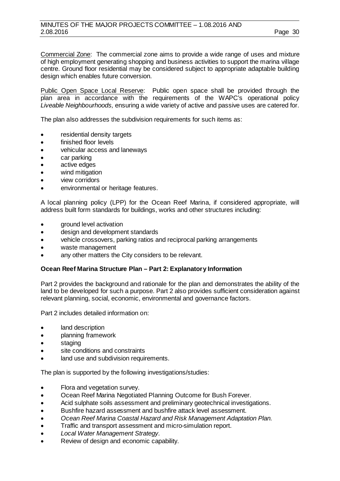Commercial Zone: The commercial zone aims to provide a wide range of uses and mixture of high employment generating shopping and business activities to support the marina village centre. Ground floor residential may be considered subject to appropriate adaptable building design which enables future conversion.

Public Open Space Local Reserve: Public open space shall be provided through the plan area in accordance with the requirements of the WAPC's operational policy *Liveable Neighbourhoods,* ensuring a wide variety of active and passive uses are catered for.

The plan also addresses the subdivision requirements for such items as:

- residential density targets
- finished floor levels
- vehicular access and laneways
- car parking
- active edges
- wind mitigation
- view corridors
- environmental or heritage features.

A local planning policy (LPP) for the Ocean Reef Marina, if considered appropriate, will address built form standards for buildings, works and other structures including:

- ground level activation
- design and development standards
- vehicle crossovers, parking ratios and reciprocal parking arrangements
- waste management
- any other matters the City considers to be relevant.

#### **Ocean Reef Marina Structure Plan – Part 2: Explanatory Information**

Part 2 provides the background and rationale for the plan and demonstrates the ability of the land to be developed for such a purpose. Part 2 also provides sufficient consideration against relevant planning, social, economic, environmental and governance factors.

Part 2 includes detailed information on:

- land description
- planning framework
- staging
- site conditions and constraints
- land use and subdivision requirements.

The plan is supported by the following investigations/studies:

- Flora and vegetation survey.
- Ocean Reef Marina Negotiated Planning Outcome for Bush Forever.
- Acid sulphate soils assessment and preliminary geotechnical investigations.
- Bushfire hazard assessment and bushfire attack level assessment.
- *Ocean Reef Marina Coastal Hazard and Risk Management Adaptation Plan.*
- Traffic and transport assessment and micro-simulation report.
- *Local Water Management Strategy.*
- Review of design and economic capability.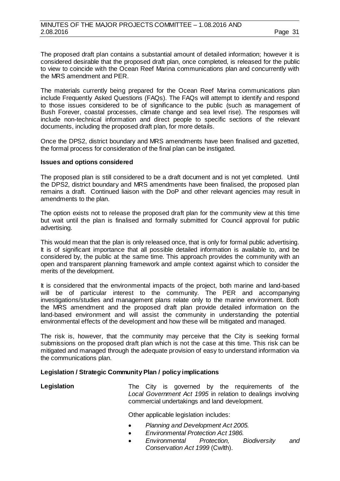The proposed draft plan contains a substantial amount of detailed information; however it is considered desirable that the proposed draft plan, once completed, is released for the public to view to coincide with the Ocean Reef Marina communications plan and concurrently with the MRS amendment and PER.

The materials currently being prepared for the Ocean Reef Marina communications plan include Frequently Asked Questions (FAQs). The FAQs will attempt to identify and respond to those issues considered to be of significance to the public (such as management of Bush Forever, coastal processes, climate change and sea level rise). The responses will include non-technical information and direct people to specific sections of the relevant documents, including the proposed draft plan, for more details.

Once the DPS2, district boundary and MRS amendments have been finalised and gazetted, the formal process for consideration of the final plan can be instigated.

#### **Issues and options considered**

The proposed plan is still considered to be a draft document and is not yet completed. Until the DPS2, district boundary and MRS amendments have been finalised, the proposed plan remains a draft. Continued liaison with the DoP and other relevant agencies may result in amendments to the plan.

The option exists not to release the proposed draft plan for the community view at this time but wait until the plan is finalised and formally submitted for Council approval for public advertising.

This would mean that the plan is only released once, that is only for formal public advertising. It is of significant importance that all possible detailed information is available to, and be considered by, the public at the same time. This approach provides the community with an open and transparent planning framework and ample context against which to consider the merits of the development.

It is considered that the environmental impacts of the project, both marine and land-based will be of particular interest to the community. The PER and accompanying investigations/studies and management plans relate only to the marine environment. Both the MRS amendment and the proposed draft plan provide detailed information on the land-based environment and will assist the community in understanding the potential environmental effects of the development and how these will be mitigated and managed.

The risk is, however, that the community may perceive that the City is seeking formal submissions on the proposed draft plan which is not the case at this time. This risk can be mitigated and managed through the adequate provision of easy to understand information via the communications plan.

# **Legislation / Strategic Community Plan / policy implications**

| Legislation |  |  |  | The City is governed by the requirements of the             |  |
|-------------|--|--|--|-------------------------------------------------------------|--|
|             |  |  |  | Local Government Act 1995 in relation to dealings involving |  |
|             |  |  |  | commercial undertakings and land development.               |  |

Other applicable legislation includes:

- *Planning and Development Act 2005.*
- *Environmental Protection Act 1986.*
- *Environmental Protection, Biodiversity and Conservation Act 1999* (Cwlth).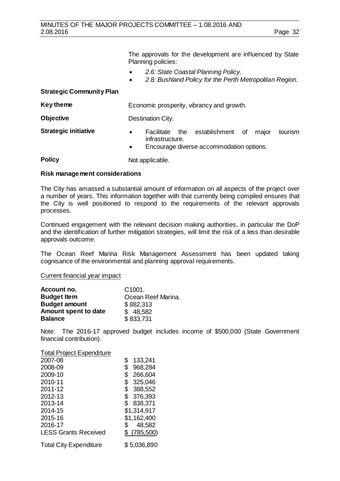The approvals for the development are influenced by State Planning policies:

- *2.6: State Coastal Planning Policy.*
- *2.8: Bushland Policy for the Perth Metropolitan Region.*

# **Strategic Community Plan**

| Destination City.                                  |                                          |
|----------------------------------------------------|------------------------------------------|
|                                                    |                                          |
| Facilitate the establishment of<br>infrastructure. | major<br>tourism                         |
|                                                    | Encourage diverse accommodation options. |

**Policy** Not applicable.

#### **Risk management considerations**

The City has amassed a substantial amount of information on all aspects of the project over a number of years. This information together with that currently being compiled ensures that the City is well positioned to respond to the requirements of the relevant approvals processes.

Continued engagement with the relevant decision making authorities, in particular the DoP and the identification of further mitigation strategies, will limit the risk of a less than desirable approvals outcome.

The Ocean Reef Marina Risk Management Assessment has been updated taking cognisance of the environmental and planning approval requirements.

#### Current financial year impact

| Account no.          | C <sub>1001</sub>  |
|----------------------|--------------------|
| <b>Budget Item</b>   | Ocean Reef Marina. |
| <b>Budget amount</b> | \$882,313          |
| Amount spent to date | \$48,582           |
| <b>Balance</b>       | \$833,731          |

Note: The 2016-17 approved budget includes income of \$500,000 (State Government financial contribution).

#### Total Project Expenditure

| 2007-08                     | \$<br>133,241 |
|-----------------------------|---------------|
| 2008-09                     | \$<br>968,284 |
| 2009-10                     | \$<br>266,604 |
| 2010-11                     | \$<br>325,046 |
| 2011-12                     | \$<br>388,552 |
| 2012-13                     | \$<br>376,393 |
| 2013-14                     | \$<br>838,371 |
| 2014-15                     | \$1,314,917   |
| 2015-16                     | \$1,162,400   |
| 2016-17                     | \$<br>48,582  |
| <b>LESS Grants Received</b> | \$(785,500)   |
|                             |               |

Total City Expenditure \$ 5,036,890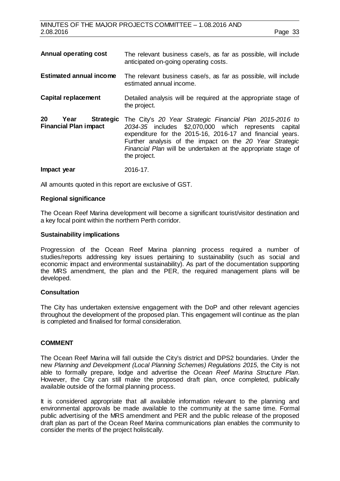| <b>Annual operating cost</b>                                   | The relevant business case/s, as far as possible, will include<br>anticipated on-going operating costs.                                                                                                                                                                                                                    |
|----------------------------------------------------------------|----------------------------------------------------------------------------------------------------------------------------------------------------------------------------------------------------------------------------------------------------------------------------------------------------------------------------|
| <b>Estimated annual income</b>                                 | The relevant business case/s, as far as possible, will include<br>estimated annual income.                                                                                                                                                                                                                                 |
| <b>Capital replacement</b>                                     | Detailed analysis will be required at the appropriate stage of<br>the project.                                                                                                                                                                                                                                             |
| 20<br><b>Strategic</b><br>Year<br><b>Financial Plan impact</b> | The City's 20 Year Strategic Financial Plan 2015-2016 to<br>2034-35 includes \$2,070,000 which represents capital<br>expenditure for the 2015-16, 2016-17 and financial years.<br>Further analysis of the impact on the 20 Year Strategic<br>Financial Plan will be undertaken at the appropriate stage of<br>the project. |
| Impact year                                                    | 2016-17.                                                                                                                                                                                                                                                                                                                   |

All amounts quoted in this report are exclusive of GST.

#### **Regional significance**

The Ocean Reef Marina development will become a significant tourist/visitor destination and a key focal point within the northern Perth corridor.

#### **Sustainability implications**

Progression of the Ocean Reef Marina planning process required a number of studies/reports addressing key issues pertaining to sustainability (such as social and economic impact and environmental sustainability). As part of the documentation supporting the MRS amendment, the plan and the PER, the required management plans will be developed.

#### **Consultation**

The City has undertaken extensive engagement with the DoP and other relevant agencies throughout the development of the proposed plan. This engagement will continue as the plan is completed and finalised for formal consideration.

#### **COMMENT**

The Ocean Reef Marina will fall outside the City's district and DPS2 boundaries. Under the new *Planning and Development (Local Planning Schemes) Regulations 2015*, the City is not able to formally prepare, lodge and advertise the *Ocean Reef Marina Structure Plan*. However, the City can still make the proposed draft plan, once completed, publically available outside of the formal planning process.

It is considered appropriate that all available information relevant to the planning and environmental approvals be made available to the community at the same time. Formal public advertising of the MRS amendment and PER and the public release of the proposed draft plan as part of the Ocean Reef Marina communications plan enables the community to consider the merits of the project holistically.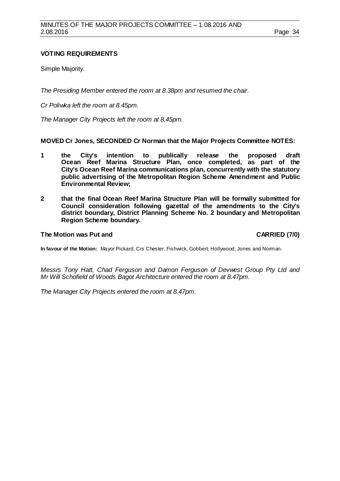# **VOTING REQUIREMENTS**

Simple Majority.

*The Presiding Member entered the room at 8.38pm and resumed the chair.*

*Cr Poliwka left the room at 8.45pm.*

*The Manager City Projects left the room at 8.45pm.*

**MOVED Cr Jones, SECONDED Cr Norman that the Major Projects Committee NOTES:**

- **1 the City's intention to publically release the proposed draft Ocean Reef Marina Structure Plan, once completed, as part of the City's Ocean Reef Marina communications plan, concurrently with the statutory public advertising of the Metropolitan Region Scheme Amendment and Public Environmental Review;**
- **2 that the final Ocean Reef Marina Structure Plan will be formally submitted for Council consideration following gazettal of the amendments to the City's district boundary, District Planning Scheme No. 2 boundary and Metropolitan Region Scheme boundary.**

# **The Motion was Put and CARRIED (7/0)**

**In favour of the Motion:** Mayor Pickard, Crs Chester, Fishwick, Gobbert, Hollywood, Jones and Norman.

*Messrs Tony Hatt, Chad Ferguson and Damon Ferguson of Devwest Group Pty Ltd and Mr Will Schofield of Woods Bagot Architecture entered the room at 8.47pm.*

*The Manager City Projects entered the room at 8.47pm.*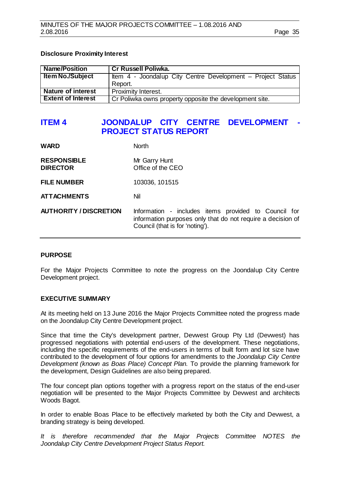# **Disclosure Proximity Interest**

| <b>Name/Position</b>      | <b>Cr Russell Poliwka.</b>                                  |
|---------------------------|-------------------------------------------------------------|
| <b>Item No./Subject</b>   | Item 4 - Joondalup City Centre Development – Project Status |
|                           | Report.                                                     |
| <b>Nature of interest</b> | Proximity Interest.                                         |
| <b>Extent of Interest</b> | Cr Poliwka owns property opposite the development site.     |

# <span id="page-34-0"></span>**ITEM 4 JOONDALUP CITY CENTRE DEVELOPMENT - PROJECT STATUS REPORT**

| <b>WARD</b>                           | <b>North</b>                                                                                                        |
|---------------------------------------|---------------------------------------------------------------------------------------------------------------------|
| <b>RESPONSIBLE</b><br><b>DIRECTOR</b> | Mr Garry Hunt<br>Office of the CEO                                                                                  |
| <b>FILE NUMBER</b>                    | 103036, 101515                                                                                                      |
| <b>ATTACHMENTS</b>                    | Nil                                                                                                                 |
| <b>AUTHORITY / DISCRETION</b>         | Information - includes items provided to Council for<br>information purposes only that do not require a decision of |

#### **PURPOSE**

For the Major Projects Committee to note the progress on the Joondalup City Centre Development project.

Council (that is for 'noting').

#### **EXECUTIVE SUMMARY**

At its meeting held on 13 June 2016 the Major Projects Committee noted the progress made on the Joondalup City Centre Development project.

Since that time the City's development partner, Devwest Group Pty Ltd (Devwest) has progressed negotiations with potential end-users of the development. These negotiations, including the specific requirements of the end-users in terms of built form and lot size have contributed to the development of four options for amendments to the *Joondalup City Centre Development (known as Boas Place) Concept Plan.* To provide the planning framework for the development, Design Guidelines are also being prepared.

The four concept plan options together with a progress report on the status of the end-user negotiation will be presented to the Major Projects Committee by Devwest and architects Woods Bagot.

In order to enable Boas Place to be effectively marketed by both the City and Devwest, a branding strategy is being developed.

*It is therefore recommended that the Major Projects Committee NOTES the Joondalup City Centre Development Project Status Report.*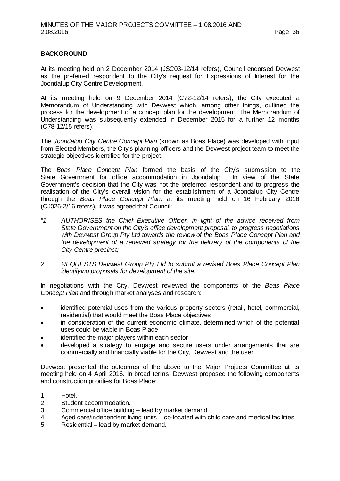# **BACKGROUND**

At its meeting held on 2 December 2014 (JSC03-12/14 refers), Council endorsed Devwest as the preferred respondent to the City's request for Expressions of Interest for the Joondalup City Centre Development.

At its meeting held on 9 December 2014 (C72-12/14 refers), the City executed a Memorandum of Understanding with Devwest which, among other things, outlined the process for the development of a concept plan for the development. The Memorandum of Understanding was subsequently extended in December 2015 for a further 12 months (C78-12/15 refers).

The *Joondalup City Centre Concept Plan* (known as Boas Place) was developed with input from Elected Members, the City's planning officers and the Devwest project team to meet the strategic objectives identified for the project.

The *Boas Place Concept Plan* formed the basis of the City's submission to the State Government for office accommodation in Joondalup. Government's decision that the City was not the preferred respondent and to progress the realisation of the City's overall vision for the establishment of a Joondalup City Centre through the *Boas Place Concept Plan,* at its meeting held on 16 February 2016 (CJ026-2/16 refers), it was agreed that Council:

- *"1 AUTHORISES the Chief Executive Officer, in light of the advice received from State Government on the City's office development proposal, to progress negotiations with Devwest Group Pty Ltd towards the review of the Boas Place Concept Plan and the development of a renewed strategy for the delivery of the components of the City Centre precinct;*
- *2 REQUESTS Devwest Group Pty Ltd to submit a revised Boas Place Concept Plan identifying proposals for development of the site."*

In negotiations with the City, Devwest reviewed the components of the *Boas Place Concept Plan* and through market analyses and research:

- identified potential uses from the various property sectors (retail, hotel, commercial, residential) that would meet the Boas Place objectives
- in consideration of the current economic climate, determined which of the potential uses could be viable in Boas Place
- identified the major players within each sector
- developed a strategy to engage and secure users under arrangements that are commercially and financially viable for the City, Devwest and the user.

Devwest presented the outcomes of the above to the Major Projects Committee at its meeting held on 4 April 2016. In broad terms, Devwest proposed the following components and construction priorities for Boas Place:

- 1 Hotel.
- 2 Student accommodation.<br>3 Commercial office building
- 3 Commercial office building lead by market demand.<br>4 Aged care/independent living units co-located with c
- Aged care/independent living units  $-$  co-located with child care and medical facilities
- 5 Residential lead by market demand.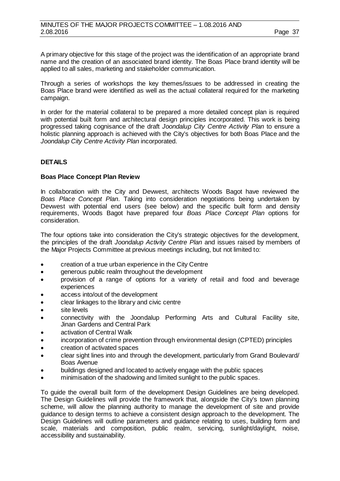A primary objective for this stage of the project was the identification of an appropriate brand name and the creation of an associated brand identity. The Boas Place brand identity will be applied to all sales, marketing and stakeholder communication.

Through a series of workshops the key themes/issues to be addressed in creating the Boas Place brand were identified as well as the actual collateral required for the marketing campaign.

In order for the material collateral to be prepared a more detailed concept plan is required with potential built form and architectural design principles incorporated. This work is being progressed taking cognisance of the draft *Joondalup City Centre Activity Plan* to ensure a holistic planning approach is achieved with the City's objectives for both Boas Place and the *Joondalup City Centre Activity Plan* incorporated.

# **DETAILS**

# **Boas Place Concept Plan Review**

In collaboration with the City and Devwest, architects Woods Bagot have reviewed the *Boas Place Concept Plan*. Taking into consideration negotiations being undertaken by Devwest with potential end users (see below) and the specific built form and density requirements, Woods Bagot have prepared four *Boas Place Concept Plan* options for consideration.

The four options take into consideration the City's strategic objectives for the development, the principles of the draft *Joondalup Activity Centre Plan* and issues raised by members of the Major Projects Committee at previous meetings including, but not limited to:

- creation of a true urban experience in the City Centre
- generous public realm throughout the development
- provision of a range of options for a variety of retail and food and beverage experiences
- access into/out of the development
- clear linkages to the library and civic centre
- site levels
- connectivity with the Joondalup Performing Arts and Cultural Facility site, Jinan Gardens and Central Park
- activation of Central Walk
- incorporation of crime prevention through environmental design (CPTED) principles
- creation of activated spaces
- clear sight lines into and through the development, particularly from Grand Boulevard/ Boas Avenue
- buildings designed and located to actively engage with the public spaces
- minimisation of the shadowing and limited sunlight to the public spaces.

To guide the overall built form of the development Design Guidelines are being developed. The Design Guidelines will provide the framework that, alongside the City's town planning scheme, will allow the planning authority to manage the development of site and provide guidance to design terms to achieve a consistent design approach to the development. The Design Guidelines will outline parameters and guidance relating to uses, building form and scale, materials and composition, public realm, servicing, sunlight/daylight, noise, accessibility and sustainability.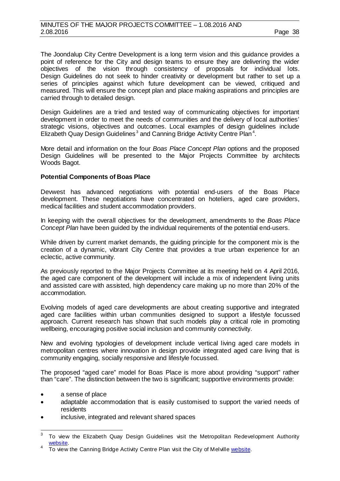The Joondalup City Centre Development is a long term vision and this guidance provides a point of reference for the City and design teams to ensure they are delivering the wider objectives of the vision through consistency of proposals for individual lots. Design Guidelines do not seek to hinder creativity or development but rather to set up a series of principles against which future development can be viewed, critiqued and measured. This will ensure the concept plan and place making aspirations and principles are carried through to detailed design.

Design Guidelines are a tried and tested way of communicating objectives for important development in order to meet the needs of communities and the delivery of local authorities' strategic visions, objectives and outcomes. Local examples of design guidelines include Elizabeth Quay Design Guidelines<sup>[3](#page-37-0)</sup> and Canning Bridge Activity Centre Plan<sup>[4](#page-37-0)</sup>.

More detail and information on the four *Boas Place Concept Plan* options and the proposed Design Guidelines will be presented to the Major Projects Committee by architects Woods Bagot.

# **Potential Components of Boas Place**

Devwest has advanced negotiations with potential end-users of the Boas Place development. These negotiations have concentrated on hoteliers, aged care providers, medical facilities and student accommodation providers.

In keeping with the overall objectives for the development, amendments to the *Boas Place Concept Plan* have been guided by the individual requirements of the potential end-users.

While driven by current market demands, the guiding principle for the component mix is the creation of a dynamic, vibrant City Centre that provides a true urban experience for an eclectic, active community.

As previously reported to the Major Projects Committee at its meeting held on 4 April 2016, the aged care component of the development will include a mix of independent living units and assisted care with assisted, high dependency care making up no more than 20% of the accommodation.

Evolving models of aged care developments are about creating supportive and integrated aged care facilities within urban communities designed to support a lifestyle focussed approach. Current research has shown that such models play a critical role in promoting wellbeing, encouraging positive social inclusion and community connectivity.

New and evolving typologies of development include vertical living aged care models in metropolitan centres where innovation in design provide integrated aged care living that is community engaging, socially responsive and lifestyle focussed.

The proposed "aged care" model for Boas Place is more about providing "support" rather than "care". The distinction between the two is significant; supportive environments provide:

- a sense of place
- adaptable accommodation that is easily customised to support the varied needs of residents
- inclusive, integrated and relevant shared spaces

<span id="page-37-0"></span> $3$  To view the Elizabeth Quay Design Guidelines visit the Metropolitan Redevelopment Authority [website.](http://www.mra.wa.gov.au/projects-and-places/elizabeth-quay/vision/document-finder)<br>4 To view the Canning Bridge Activity Centre Plan visit the City of Melvill[e website.](http://www.melvillecity.com.au/about-melville/future-vision/canning-bridge-structure-plan/Copy+of+canning-bridge-activity-centre-plan)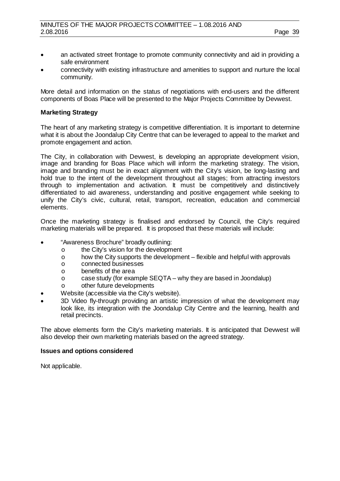- an activated street frontage to promote community connectivity and aid in providing a safe environment
- connectivity with existing infrastructure and amenities to support and nurture the local community.

More detail and information on the status of negotiations with end-users and the different components of Boas Place will be presented to the Major Projects Committee by Devwest.

# **Marketing Strategy**

The heart of any marketing strategy is competitive differentiation. It is important to determine what it is about the Joondalup City Centre that can be leveraged to appeal to the market and promote engagement and action.

The City, in collaboration with Devwest, is developing an appropriate development vision, image and branding for Boas Place which will inform the marketing strategy. The vision, image and branding must be in exact alignment with the City's vision, be long-lasting and hold true to the intent of the development throughout all stages; from attracting investors through to implementation and activation. It must be competitively and distinctively differentiated to aid awareness, understanding and positive engagement while seeking to unify the City's civic, cultural, retail, transport, recreation, education and commercial elements.

Once the marketing strategy is finalised and endorsed by Council, the City's required marketing materials will be prepared. It is proposed that these materials will include:

- "Awareness Brochure" broadly outlining:
	- o the City's vision for the development<br>o how the City supports the developme
	- o how the City supports the development flexible and helpful with approvals  $\circ$  connected businesses
	- o connected businesses<br>o benefits of the area
	-
	- o benefits of the area<br>o case study (for exar o case study (for example SEQTA – why they are based in Joondalup)<br>o other future developments
	- other future developments
- Website (accessible via the City's website).
- 3D Video fly-through providing an artistic impression of what the development may look like, its integration with the Joondalup City Centre and the learning, health and retail precincts.

The above elements form the City's marketing materials. It is anticipated that Devwest will also develop their own marketing materials based on the agreed strategy.

#### **Issues and options considered**

Not applicable.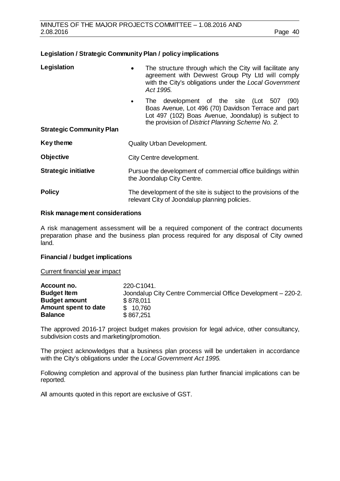# **Legislation / Strategic Community Plan / policy implications**

| Legislation                     | The structure through which the City will facilitate any<br>$\bullet$<br>agreement with Devwest Group Pty Ltd will comply<br>with the City's obligations under the Local Government<br>Act 1995.                            |  |
|---------------------------------|-----------------------------------------------------------------------------------------------------------------------------------------------------------------------------------------------------------------------------|--|
|                                 | The development of the site (Lot 507<br>(90)<br>$\bullet$<br>Boas Avenue, Lot 496 (70) Davidson Terrace and part<br>Lot 497 (102) Boas Avenue, Joondalup) is subject to<br>the provision of District Planning Scheme No. 2. |  |
| <b>Strategic Community Plan</b> |                                                                                                                                                                                                                             |  |
| <b>Key theme</b>                | <b>Quality Urban Development.</b>                                                                                                                                                                                           |  |
| <b>Objective</b>                | City Centre development.                                                                                                                                                                                                    |  |
| <b>Strategic initiative</b>     | Pursue the development of commercial office buildings within<br>the Joondalup City Centre.                                                                                                                                  |  |
| <b>Policy</b>                   | The development of the site is subject to the provisions of the<br>relevant City of Joondalup planning policies.                                                                                                            |  |

# **Risk management considerations**

A risk management assessment will be a required component of the contract documents preparation phase and the business plan process required for any disposal of City owned land.

# **Financial / budget implications**

Current financial year impact

| Account no.          | 220-C1041.                                                   |
|----------------------|--------------------------------------------------------------|
| <b>Budget Item</b>   | Joondalup City Centre Commercial Office Development - 220-2. |
| <b>Budget amount</b> | \$878,011                                                    |
| Amount spent to date | \$10,760                                                     |
| <b>Balance</b>       | \$867,251                                                    |

The approved 2016-17 project budget makes provision for legal advice, other consultancy, subdivision costs and marketing/promotion.

The project acknowledges that a business plan process will be undertaken in accordance with the City's obligations under the *Local Government Act 1995.*

Following completion and approval of the business plan further financial implications can be reported.

All amounts quoted in this report are exclusive of GST.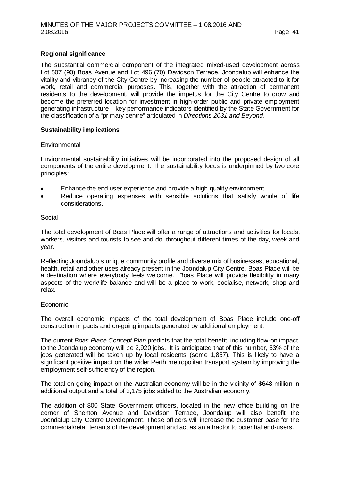# **Regional significance**

The substantial commercial component of the integrated mixed-used development across Lot 507 (90) Boas Avenue and Lot 496 (70) Davidson Terrace, Joondalup will enhance the vitality and vibrancy of the City Centre by increasing the number of people attracted to it for work, retail and commercial purposes. This, together with the attraction of permanent residents to the development, will provide the impetus for the City Centre to grow and become the preferred location for investment in high-order public and private employment generating infrastructure – key performance indicators identified by the State Government for the classification of a "primary centre" articulated in *Directions 2031 and Beyond.*

# **Sustainability implications**

# **Environmental**

Environmental sustainability initiatives will be incorporated into the proposed design of all components of the entire development. The sustainability focus is underpinned by two core principles:

- Enhance the end user experience and provide a high quality environment.
- Reduce operating expenses with sensible solutions that satisfy whole of life considerations.

# Social

The total development of Boas Place will offer a range of attractions and activities for locals, workers, visitors and tourists to see and do, throughout different times of the day, week and year.

Reflecting Joondalup's unique community profile and diverse mix of businesses, educational, health, retail and other uses already present in the Joondalup City Centre, Boas Place will be a destination where everybody feels welcome. Boas Place will provide flexibility in many aspects of the work/life balance and will be a place to work, socialise, network, shop and relax.

#### Economic

The overall economic impacts of the total development of Boas Place include one-off construction impacts and on-going impacts generated by additional employment.

The current *Boas Place Concept Plan* predicts that the total benefit, including flow-on impact, to the Joondalup economy will be 2,920 jobs. It is anticipated that of this number, 63% of the jobs generated will be taken up by local residents (some 1,857). This is likely to have a significant positive impact on the wider Perth metropolitan transport system by improving the employment self-sufficiency of the region.

The total on-going impact on the Australian economy will be in the vicinity of \$648 million in additional output and a total of 3,175 jobs added to the Australian economy.

The addition of 800 State Government officers, located in the new office building on the corner of Shenton Avenue and Davidson Terrace, Joondalup will also benefit the Joondalup City Centre Development. These officers will increase the customer base for the commercial/retail tenants of the development and act as an attractor to potential end-users.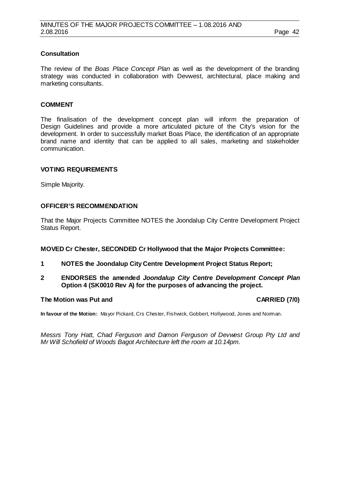# **Consultation**

The review of the *Boas Place Concept Plan* as well as the development of the branding strategy was conducted in collaboration with Devwest, architectural, place making and marketing consultants.

# **COMMENT**

The finalisation of the development concept plan will inform the preparation of Design Guidelines and provide a more articulated picture of the City's vision for the development. In order to successfully market Boas Place, the identification of an appropriate brand name and identity that can be applied to all sales, marketing and stakeholder communication.

# **VOTING REQUIREMENTS**

Simple Majority.

# **OFFICER'S RECOMMENDATION**

That the Major Projects Committee NOTES the Joondalup City Centre Development Project Status Report.

#### **MOVED Cr Chester, SECONDED Cr Hollywood that the Major Projects Committee:**

- **1 NOTES the Joondalup City Centre Development Project Status Report;**
- **2 ENDORSES the amended** *Joondalup City Centre Development Concept Plan*  **Option 4 (SK0010 Rev A) for the purposes of advancing the project.**

## **The Motion was Put and CARRIED (7/0)**

**In favour of the Motion:** Mayor Pickard, Crs Chester, Fishwick, Gobbert, Hollywood, Jones and Norman.

*Messrs Tony Hatt, Chad Ferguson and Damon Ferguson of Devwest Group Pty Ltd and Mr Will Schofield of Woods Bagot Architecture left the room at 10.14pm.*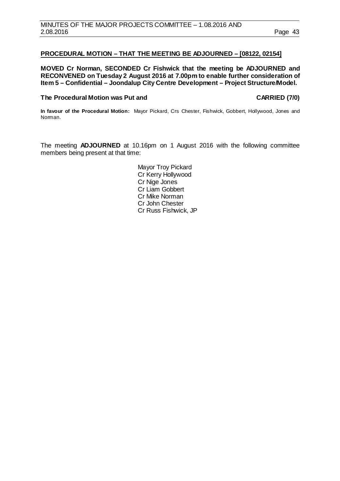# <span id="page-42-0"></span>**PROCEDURAL MOTION – THAT THE MEETING BE ADJOURNED – [08122, 02154]**

**MOVED Cr Norman, SECONDED Cr Fishwick that the meeting be ADJOURNED and RECONVENED on Tuesday 2 August 2016 at 7.00pm to enable further consideration of Item 5 – Confidential – Joondalup City Centre Development – Project Structure/Model.**

#### The Procedural Motion was Put and **CARRIED** (7/0)

**In favour of the Procedural Motion:** Mayor Pickard, Crs Chester, Fishwick, Gobbert, Hollywood, Jones and Noman.

The meeting **ADJOURNED** at 10.16pm on 1 August 2016 with the following committee members being present at that time:

> Mayor Troy Pickard Cr Kerry Hollywood Cr Nige Jones Cr Liam Gobbert Cr Mike Norman Cr John Chester Cr Russ Fishwick, JP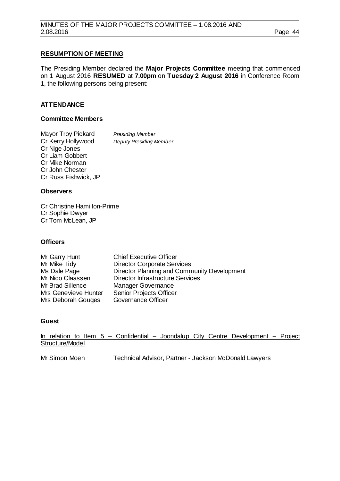# **RESUMPTION OF MEETING**

The Presiding Member declared the **Major Projects Committee** meeting that commenced on 1 August 2016 **RESUMED** at **7.00pm** on **Tuesday 2 August 2016** in Conference Room 1, the following persons being present:

# **ATTENDANCE**

# **Committee Members**

Mayor Troy Pickard *Presiding Member*<br>Cr Kerry Hollywood Deputy Presiding Member **Cr Kerry Hollywood** Cr Nige Jones Cr Liam Gobbert Cr Mike Norman Cr John Chester Cr Russ Fishwick, JP

# **Observers**

Cr Christine Hamilton-Prime Cr Sophie Dwyer Cr Tom McLean, JP

# **Officers**

| Mr Garry Hunt        | <b>Chief Executive Officer</b>              |
|----------------------|---------------------------------------------|
| Mr Mike Tidy         | <b>Director Corporate Services</b>          |
| Ms Dale Page         | Director Planning and Community Development |
| Mr Nico Claassen     | <b>Director Infrastructure Services</b>     |
| Mr Brad Sillence     | Manager Governance                          |
| Mrs Genevieve Hunter | <b>Senior Projects Officer</b>              |
| Mrs Deborah Gouges   | <b>Governance Officer</b>                   |

# **Guest**

In relation to Item 5 – Confidential – Joondalup City Centre Development – Project Structure/Model

Mr Simon Moen Technical Advisor, Partner - Jackson McDonald Lawyers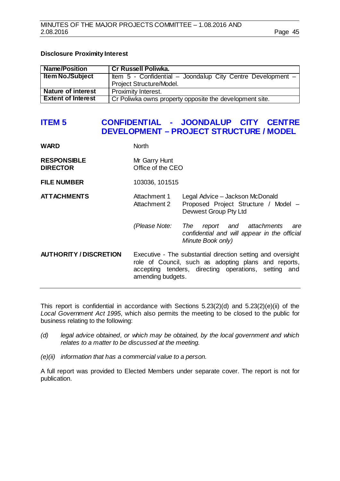# **Disclosure Proximity Interest**

| Name/Position             | <b>Cr Russell Poliwka.</b>                                    |  |  |
|---------------------------|---------------------------------------------------------------|--|--|
| <b>Item No./Subject</b>   | Item $5$ - Confidential – Joondalup City Centre Development – |  |  |
|                           | Project Structure/Model.                                      |  |  |
| Nature of interest        | Proximity Interest.                                           |  |  |
| <b>Extent of Interest</b> | Cr Poliwka owns property opposite the development site.       |  |  |

# <span id="page-44-0"></span>**ITEM 5 CONFIDENTIAL - JOONDALUP CITY CENTRE DEVELOPMENT – PROJECT STRUCTURE / MODEL**

| WARD                                  | <b>North</b>                                                                                                                                                                                     |                                                                                                           |
|---------------------------------------|--------------------------------------------------------------------------------------------------------------------------------------------------------------------------------------------------|-----------------------------------------------------------------------------------------------------------|
| <b>RESPONSIBLE</b><br><b>DIRECTOR</b> | Mr Garry Hunt<br>Office of the CEO                                                                                                                                                               |                                                                                                           |
| <b>FILE NUMBER</b>                    | 103036, 101515                                                                                                                                                                                   |                                                                                                           |
| <b>ATTACHMENTS</b>                    | Attachment 1<br>Attachment 2                                                                                                                                                                     | Legal Advice - Jackson McDonald<br>Proposed Project Structure / Model -<br>Devwest Group Pty Ltd          |
|                                       | (Please Note:                                                                                                                                                                                    | report and attachments<br>The<br>are<br>confidential and will appear in the official<br>Minute Book only) |
| <b>AUTHORITY / DISCRETION</b>         | Executive - The substantial direction setting and oversight<br>role of Council, such as adopting plans and reports,<br>accepting tenders, directing operations, setting and<br>amending budgets. |                                                                                                           |

This report is confidential in accordance with Sections 5.23(2)(d) and 5.23(2)(e)(ii) of the *Local Government Act 1995*, which also permits the meeting to be closed to the public for business relating to the following:

- *(d) legal advice obtained, or which may be obtained, by the local government and which relates to a matter to be discussed at the meeting.*
- *(e)(ii) information that has a commercial value to a person.*

A full report was provided to Elected Members under separate cover. The report is not for publication.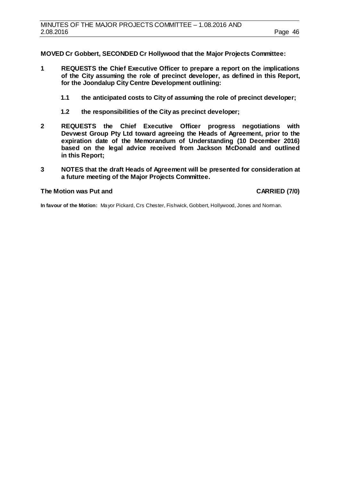**MOVED Cr Gobbert, SECONDED Cr Hollywood that the Major Projects Committee:**

- **1 REQUESTS the Chief Executive Officer to prepare a report on the implications of the City assuming the role of precinct developer, as defined in this Report, for the Joondalup City Centre Development outlining:**
	- **1.1 the anticipated costs to City of assuming the role of precinct developer;**
	- **1.2 the responsibilities of the City as precinct developer;**
- **2 REQUESTS the Chief Executive Officer progress negotiations with Devwest Group Pty Ltd toward agreeing the Heads of Agreement, prior to the expiration date of the Memorandum of Understanding (10 December 2016) based on the legal advice received from Jackson McDonald and outlined in this Report;**
- **3 NOTES that the draft Heads of Agreement will be presented for consideration at a future meeting of the Major Projects Committee.**

#### **The Motion was Put and CARRIED (7/0)**

**In favour of the Motion:** Mayor Pickard, Crs Chester, Fishwick, Gobbert, Hollywood, Jones and Norman.